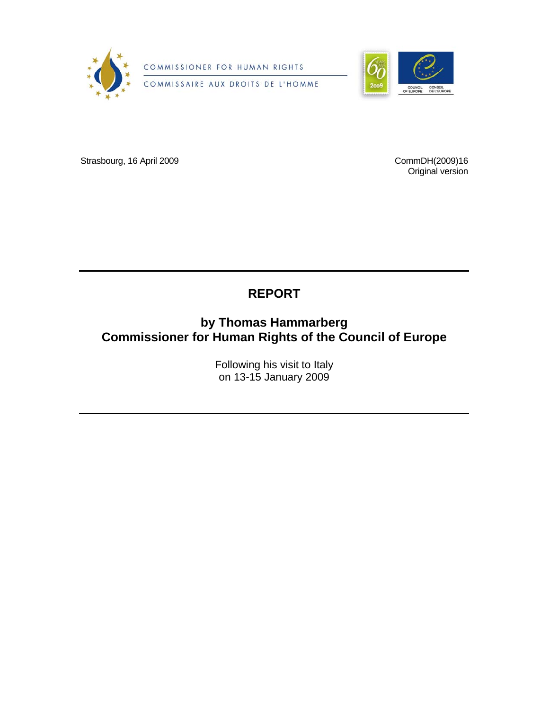

COMMISSIONER FOR HUMAN RIGHTS

COMMISSAIRE AUX DROITS DE L'HOMME



Strasbourg, 16 April 2009

CommDH(2009)16 Original version

## **REPORT**

## **by Thomas Hammarberg Commissioner for Human Rights of the Council of Europe**

Following his visit to Italy on 13-15 January 2009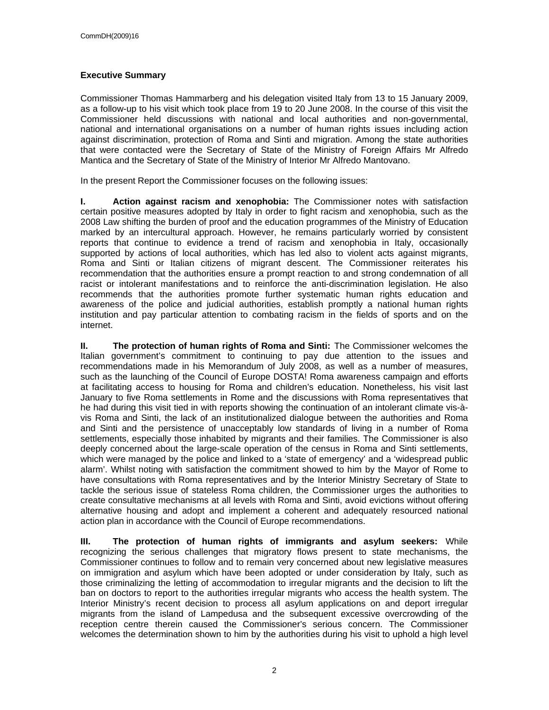### **Executive Summary**

Commissioner Thomas Hammarberg and his delegation visited Italy from 13 to 15 January 2009, as a follow-up to his visit which took place from 19 to 20 June 2008. In the course of this visit the Commissioner held discussions with national and local authorities and non-governmental, national and international organisations on a number of human rights issues including action against discrimination, protection of Roma and Sinti and migration. Among the state authorities that were contacted were the Secretary of State of the Ministry of Foreign Affairs Mr Alfredo Mantica and the Secretary of State of the Ministry of Interior Mr Alfredo Mantovano.

In the present Report the Commissioner focuses on the following issues:

**I. Action against racism and xenophobia:** The Commissioner notes with satisfaction certain positive measures adopted by Italy in order to fight racism and xenophobia, such as the 2008 Law shifting the burden of proof and the education programmes of the Ministry of Education marked by an intercultural approach. However, he remains particularly worried by consistent reports that continue to evidence a trend of racism and xenophobia in Italy, occasionally supported by actions of local authorities, which has led also to violent acts against migrants, Roma and Sinti or Italian citizens of migrant descent. The Commissioner reiterates his recommendation that the authorities ensure a prompt reaction to and strong condemnation of all racist or intolerant manifestations and to reinforce the anti-discrimination legislation. He also recommends that the authorities promote further systematic human rights education and awareness of the police and judicial authorities, establish promptly a national human rights institution and pay particular attention to combating racism in the fields of sports and on the internet.

**II. The protection of human rights of Roma and Sinti:** The Commissioner welcomes the Italian government's commitment to continuing to pay due attention to the issues and recommendations made in his Memorandum of July 2008, as well as a number of measures, such as the launching of the Council of Europe DOSTA! Roma awareness campaign and efforts at facilitating access to housing for Roma and children's education. Nonetheless, his visit last January to five Roma settlements in Rome and the discussions with Roma representatives that he had during this visit tied in with reports showing the continuation of an intolerant climate vis-àvis Roma and Sinti, the lack of an institutionalized dialogue between the authorities and Roma and Sinti and the persistence of unacceptably low standards of living in a number of Roma settlements, especially those inhabited by migrants and their families. The Commissioner is also deeply concerned about the large-scale operation of the census in Roma and Sinti settlements, which were managed by the police and linked to a 'state of emergency' and a 'widespread public alarm'. Whilst noting with satisfaction the commitment showed to him by the Mayor of Rome to have consultations with Roma representatives and by the Interior Ministry Secretary of State to tackle the serious issue of stateless Roma children, the Commissioner urges the authorities to create consultative mechanisms at all levels with Roma and Sinti, avoid evictions without offering alternative housing and adopt and implement a coherent and adequately resourced national action plan in accordance with the Council of Europe recommendations.

**III. The protection of human rights of immigrants and asylum seekers:** While recognizing the serious challenges that migratory flows present to state mechanisms, the Commissioner continues to follow and to remain very concerned about new legislative measures on immigration and asylum which have been adopted or under consideration by Italy, such as those criminalizing the letting of accommodation to irregular migrants and the decision to lift the ban on doctors to report to the authorities irregular migrants who access the health system. The Interior Ministry's recent decision to process all asylum applications on and deport irregular migrants from the island of Lampedusa and the subsequent excessive overcrowding of the reception centre therein caused the Commissioner's serious concern. The Commissioner welcomes the determination shown to him by the authorities during his visit to uphold a high level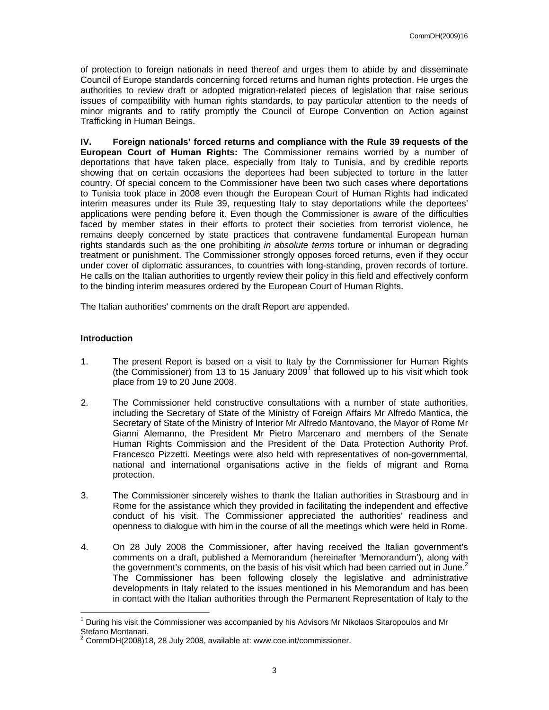of protection to foreign nationals in need thereof and urges them to abide by and disseminate Council of Europe standards concerning forced returns and human rights protection. He urges the authorities to review draft or adopted migration-related pieces of legislation that raise serious issues of compatibility with human rights standards, to pay particular attention to the needs of minor migrants and to ratify promptly the Council of Europe Convention on Action against Trafficking in Human Beings.

**IV. Foreign nationals' forced returns and compliance with the Rule 39 requests of the European Court of Human Rights:** The Commissioner remains worried by a number of deportations that have taken place, especially from Italy to Tunisia, and by credible reports showing that on certain occasions the deportees had been subjected to torture in the latter country. Of special concern to the Commissioner have been two such cases where deportations to Tunisia took place in 2008 even though the European Court of Human Rights had indicated interim measures under its Rule 39, requesting Italy to stay deportations while the deportees' applications were pending before it. Even though the Commissioner is aware of the difficulties faced by member states in their efforts to protect their societies from terrorist violence, he remains deeply concerned by state practices that contravene fundamental European human rights standards such as the one prohibiting *in absolute terms* torture or inhuman or degrading treatment or punishment. The Commissioner strongly opposes forced returns, even if they occur under cover of diplomatic assurances, to countries with long-standing, proven records of torture. He calls on the Italian authorities to urgently review their policy in this field and effectively conform to the binding interim measures ordered by the European Court of Human Rights.

The Italian authorities' comments on the draft Report are appended.

### **Introduction**

- 1. The present Report is based on a visit to Italy by the Commissioner for Human Rights (the Commissioner) from 13 to 15 January  $2009<sup>1</sup>$  that followed up to his visit which took place from 19 to 20 June 2008.
- 2. The Commissioner held constructive consultations with a number of state authorities, including the Secretary of State of the Ministry of Foreign Affairs Mr Alfredo Mantica, the Secretary of State of the Ministry of Interior Mr Alfredo Mantovano, the Mayor of Rome Mr Gianni Alemanno, the President Mr Pietro Marcenaro and members of the Senate Human Rights Commission and the President of the Data Protection Authority Prof. Francesco Pizzetti. Meetings were also held with representatives of non-governmental, national and international organisations active in the fields of migrant and Roma protection.
- 3. The Commissioner sincerely wishes to thank the Italian authorities in Strasbourg and in Rome for the assistance which they provided in facilitating the independent and effective conduct of his visit. The Commissioner appreciated the authorities' readiness and openness to dialogue with him in the course of all the meetings which were held in Rome.
- 4. On 28 July 2008 the Commissioner, after having received the Italian government's comments on a draft, published a Memorandum (hereinafter 'Memorandum'), along with the government's comments, on the basis of his visit which had been carried out in June.<sup>2</sup> The Commissioner has been following closely the legislative and administrative developments in Italy related to the issues mentioned in his Memorandum and has been in contact with the Italian authorities through the Permanent Representation of Italy to the

 $\overline{a}$ 1 During his visit the Commissioner was accompanied by his Advisors Mr Nikolaos Sitaropoulos and Mr Stefano Montanari.<br><sup>2</sup> CammDH(2009)49

CommDH(2008)18, 28 July 2008, available at: www.coe.int/commissioner.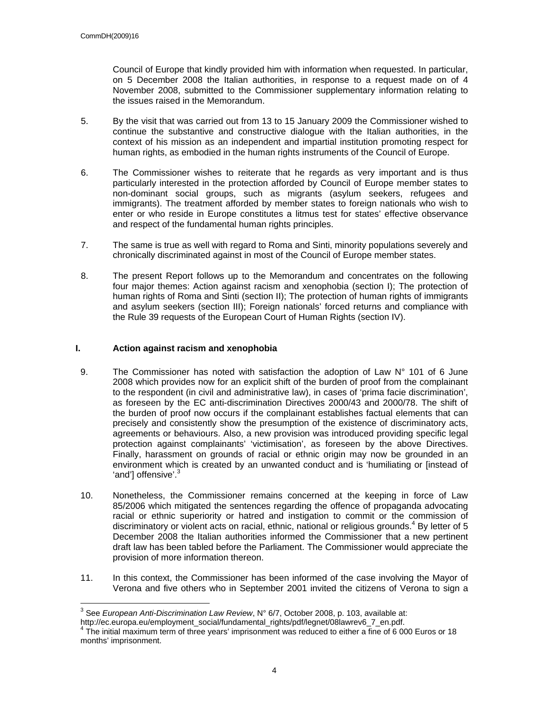Council of Europe that kindly provided him with information when requested. In particular, on 5 December 2008 the Italian authorities, in response to a request made on of 4 November 2008, submitted to the Commissioner supplementary information relating to the issues raised in the Memorandum.

- 5. By the visit that was carried out from 13 to 15 January 2009 the Commissioner wished to continue the substantive and constructive dialogue with the Italian authorities, in the context of his mission as an independent and impartial institution promoting respect for human rights, as embodied in the human rights instruments of the Council of Europe.
- 6. The Commissioner wishes to reiterate that he regards as very important and is thus particularly interested in the protection afforded by Council of Europe member states to non-dominant social groups, such as migrants (asylum seekers, refugees and immigrants). The treatment afforded by member states to foreign nationals who wish to enter or who reside in Europe constitutes a litmus test for states' effective observance and respect of the fundamental human rights principles.
- 7. The same is true as well with regard to Roma and Sinti, minority populations severely and chronically discriminated against in most of the Council of Europe member states.
- 8. The present Report follows up to the Memorandum and concentrates on the following four major themes: Action against racism and xenophobia (section I); The protection of human rights of Roma and Sinti (section II); The protection of human rights of immigrants and asylum seekers (section III); Foreign nationals' forced returns and compliance with the Rule 39 requests of the European Court of Human Rights (section IV).

### **I. Action against racism and xenophobia**

- 9. The Commissioner has noted with satisfaction the adoption of Law  $N^{\circ}$  101 of 6 June 2008 which provides now for an explicit shift of the burden of proof from the complainant to the respondent (in civil and administrative law), in cases of 'prima facie discrimination', as foreseen by the EC anti-discrimination Directives 2000/43 and 2000/78. The shift of the burden of proof now occurs if the complainant establishes factual elements that can precisely and consistently show the presumption of the existence of discriminatory acts, agreements or behaviours. Also, a new provision was introduced providing specific legal protection against complainants' 'victimisation', as foreseen by the above Directives. Finally, harassment on grounds of racial or ethnic origin may now be grounded in an environment which is created by an unwanted conduct and is 'humiliating or [instead of 'and'] offensive'.<sup>3</sup>
- 10. Nonetheless, the Commissioner remains concerned at the keeping in force of Law 85/2006 which mitigated the sentences regarding the offence of propaganda advocating racial or ethnic superiority or hatred and instigation to commit or the commission of discriminatory or violent acts on racial, ethnic, national or religious grounds.<sup>4</sup> By letter of 5 December 2008 the Italian authorities informed the Commissioner that a new pertinent draft law has been tabled before the Parliament. The Commissioner would appreciate the provision of more information thereon.
- 11. In this context, the Commissioner has been informed of the case involving the Mayor of Verona and five others who in September 2001 invited the citizens of Verona to sign a

 3 See *European Anti-Discrimination Law Review*, N° 6/7, October 2008, p. 103, available at:

http://ec.europa.eu/employment\_social/fundamental\_rights/pdf/legnet/08lawrev6\_7\_en.pdf.

 $4$  The initial maximum term of three years' imprisonment was reduced to either a fine of 6 000 Euros or 18 months' imprisonment.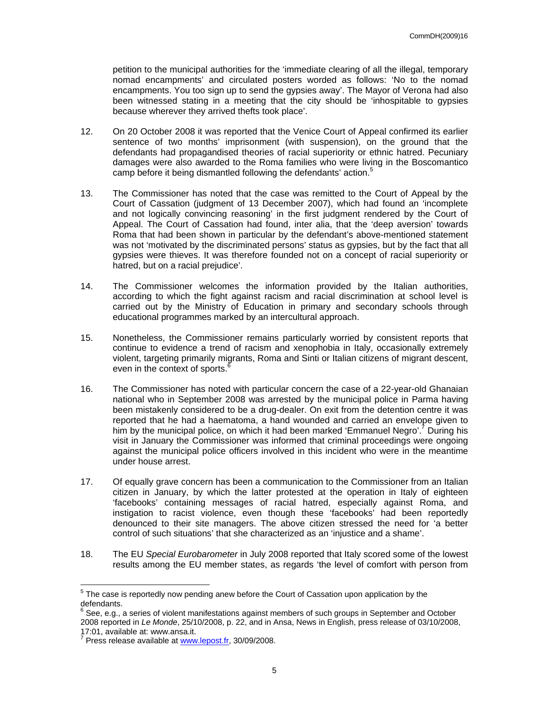petition to the municipal authorities for the 'immediate clearing of all the illegal, temporary nomad encampments' and circulated posters worded as follows: 'No to the nomad encampments. You too sign up to send the gypsies away'. The Mayor of Verona had also been witnessed stating in a meeting that the city should be 'inhospitable to gypsies because wherever they arrived thefts took place'.

- 12. On 20 October 2008 it was reported that the Venice Court of Appeal confirmed its earlier sentence of two months' imprisonment (with suspension), on the ground that the defendants had propagandised theories of racial superiority or ethnic hatred. Pecuniary damages were also awarded to the Roma families who were living in the Boscomantico camp before it being dismantled following the defendants' action.<sup>5</sup>
- 13. The Commissioner has noted that the case was remitted to the Court of Appeal by the Court of Cassation (judgment of 13 December 2007), which had found an 'incomplete and not logically convincing reasoning' in the first judgment rendered by the Court of Appeal. The Court of Cassation had found, inter alia, that the 'deep aversion' towards Roma that had been shown in particular by the defendant's above-mentioned statement was not 'motivated by the discriminated persons' status as gypsies, but by the fact that all gypsies were thieves. It was therefore founded not on a concept of racial superiority or hatred, but on a racial prejudice'.
- 14. The Commissioner welcomes the information provided by the Italian authorities, according to which the fight against racism and racial discrimination at school level is carried out by the Ministry of Education in primary and secondary schools through educational programmes marked by an intercultural approach.
- 15. Nonetheless, the Commissioner remains particularly worried by consistent reports that continue to evidence a trend of racism and xenophobia in Italy, occasionally extremely violent, targeting primarily migrants, Roma and Sinti or Italian citizens of migrant descent, even in the context of sports.<sup>6</sup>
- 16. The Commissioner has noted with particular concern the case of a 22-year-old Ghanaian national who in September 2008 was arrested by the municipal police in Parma having been mistakenly considered to be a drug-dealer. On exit from the detention centre it was reported that he had a haematoma, a hand wounded and carried an envelope given to him by the municipal police, on which it had been marked 'Emmanuel Negro'.<sup>7</sup> During his visit in January the Commissioner was informed that criminal proceedings were ongoing against the municipal police officers involved in this incident who were in the meantime under house arrest.
- 17. Of equally grave concern has been a communication to the Commissioner from an Italian citizen in January, by which the latter protested at the operation in Italy of eighteen 'facebooks' containing messages of racial hatred, especially against Roma, and instigation to racist violence, even though these 'facebooks' had been reportedly denounced to their site managers. The above citizen stressed the need for 'a better control of such situations' that she characterized as an 'injustice and a shame'.
- 18. The EU *Special Eurobarometer* in July 2008 reported that Italy scored some of the lowest results among the EU member states, as regards 'the level of comfort with person from

<sup>————————————————————&</sup>lt;br><sup>5</sup> The case is reportedly now pending anew before the Court of Cassation upon application by the defendants.

 $^6$  See, e.g., a series of violent manifestations against members of such groups in September and October 2008 reported in *Le Monde*, 25/10/2008, p. 22, and in Ansa, News in English, press release of 03/10/2008, 17:01, available at: www.ansa.it.<br><sup>7</sup> Press release available at usuar

Press release available at www.lepost.fr, 30/09/2008.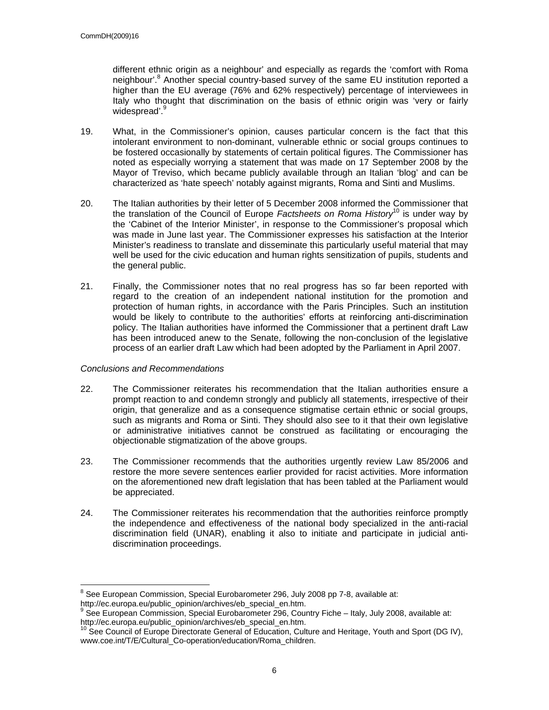different ethnic origin as a neighbour' and especially as regards the 'comfort with Roma neighbour'.<sup>8</sup> Another special country-based survey of the same EU institution reported a higher than the EU average (76% and 62% respectively) percentage of interviewees in Italy who thought that discrimination on the basis of ethnic origin was 'very or fairly widespread'.<sup>9</sup>

- 19. What, in the Commissioner's opinion, causes particular concern is the fact that this intolerant environment to non-dominant, vulnerable ethnic or social groups continues to be fostered occasionally by statements of certain political figures. The Commissioner has noted as especially worrying a statement that was made on 17 September 2008 by the Mayor of Treviso, which became publicly available through an Italian 'blog' and can be characterized as 'hate speech' notably against migrants, Roma and Sinti and Muslims.
- 20. The Italian authorities by their letter of 5 December 2008 informed the Commissioner that the translation of the Council of Europe *Factsheets on Roma History*10 is under way by the 'Cabinet of the Interior Minister', in response to the Commissioner's proposal which was made in June last year. The Commissioner expresses his satisfaction at the Interior Minister's readiness to translate and disseminate this particularly useful material that may well be used for the civic education and human rights sensitization of pupils, students and the general public.
- 21. Finally, the Commissioner notes that no real progress has so far been reported with regard to the creation of an independent national institution for the promotion and protection of human rights, in accordance with the Paris Principles. Such an institution would be likely to contribute to the authorities' efforts at reinforcing anti-discrimination policy. The Italian authorities have informed the Commissioner that a pertinent draft Law has been introduced anew to the Senate, following the non-conclusion of the legislative process of an earlier draft Law which had been adopted by the Parliament in April 2007.

### *Conclusions and Recommendations*

- 22. The Commissioner reiterates his recommendation that the Italian authorities ensure a prompt reaction to and condemn strongly and publicly all statements, irrespective of their origin, that generalize and as a consequence stigmatise certain ethnic or social groups, such as migrants and Roma or Sinti. They should also see to it that their own legislative or administrative initiatives cannot be construed as facilitating or encouraging the objectionable stigmatization of the above groups.
- 23. The Commissioner recommends that the authorities urgently review Law 85/2006 and restore the more severe sentences earlier provided for racist activities. More information on the aforementioned new draft legislation that has been tabled at the Parliament would be appreciated.
- 24. The Commissioner reiterates his recommendation that the authorities reinforce promptly the independence and effectiveness of the national body specialized in the anti-racial discrimination field (UNAR), enabling it also to initiate and participate in judicial antidiscrimination proceedings.

enties<br><sup>8</sup> See European Commission, Special Eurobarometer 296, July 2008 pp 7-8, available at: http://ec.europa.eu/public\_opinion/archives/eb\_special\_en.htm.

 $9$  See European Commission, Special Eurobarometer 296, Country Fiche – Italy, July 2008, available at:

http://ec.europa.eu/public\_opinion/archives/eb\_special\_en.htm.<br><sup>10</sup> See Council of Europe Directorate General of Education, Culture and Heritage, Youth and Sport (DG IV), www.coe.int/T/E/Cultural\_Co-operation/education/Roma\_children.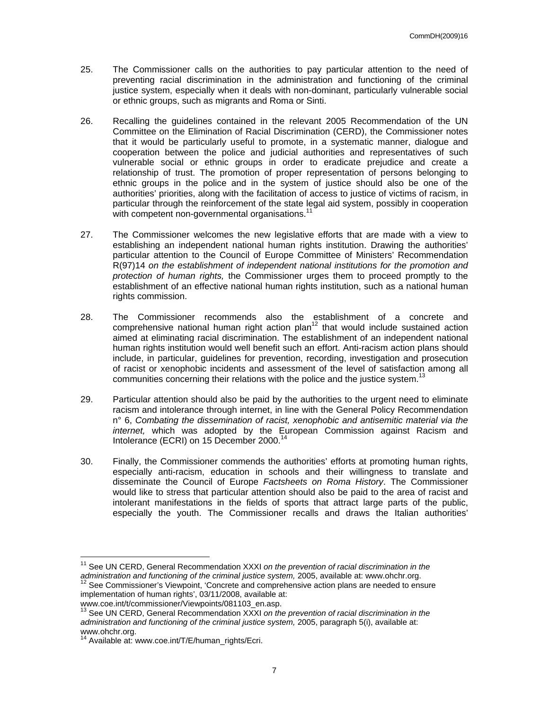- 25. The Commissioner calls on the authorities to pay particular attention to the need of preventing racial discrimination in the administration and functioning of the criminal justice system, especially when it deals with non-dominant, particularly vulnerable social or ethnic groups, such as migrants and Roma or Sinti.
- 26. Recalling the guidelines contained in the relevant 2005 Recommendation of the UN Committee on the Elimination of Racial Discrimination (CERD), the Commissioner notes that it would be particularly useful to promote, in a systematic manner, dialogue and cooperation between the police and judicial authorities and representatives of such vulnerable social or ethnic groups in order to eradicate prejudice and create a relationship of trust. The promotion of proper representation of persons belonging to ethnic groups in the police and in the system of justice should also be one of the authorities' priorities, along with the facilitation of access to justice of victims of racism, in particular through the reinforcement of the state legal aid system, possibly in cooperation with competent non-governmental organisations.<sup>1</sup>
- 27. The Commissioner welcomes the new legislative efforts that are made with a view to establishing an independent national human rights institution. Drawing the authorities' particular attention to the Council of Europe Committee of Ministers' Recommendation R(97)14 *on the establishment of independent national institutions for the promotion and protection of human rights,* the Commissioner urges them to proceed promptly to the establishment of an effective national human rights institution, such as a national human rights commission.
- 28. The Commissioner recommends also the establishment of a concrete and comprehensive national human right action plan<sup>12</sup> that would include sustained action aimed at eliminating racial discrimination. The establishment of an independent national human rights institution would well benefit such an effort. Anti-racism action plans should include, in particular, guidelines for prevention, recording, investigation and prosecution of racist or xenophobic incidents and assessment of the level of satisfaction among all communities concerning their relations with the police and the justice system.<sup>13</sup>
- 29. Particular attention should also be paid by the authorities to the urgent need to eliminate racism and intolerance through internet, in line with the General Policy Recommendation n° 6, *Combating the dissemination of racist, xenophobic and antisemitic material via the internet,* which was adopted by the European Commission against Racism and Intolerance (ECRI) on 15 December 2000.<sup>14</sup>
- 30. Finally, the Commissioner commends the authorities' efforts at promoting human rights, especially anti-racism, education in schools and their willingness to translate and disseminate the Council of Europe *Factsheets on Roma History*. The Commissioner would like to stress that particular attention should also be paid to the area of racist and intolerant manifestations in the fields of sports that attract large parts of the public, especially the youth. The Commissioner recalls and draws the Italian authorities'

 $\overline{a}$ 

<sup>11</sup> See UN CERD, General Recommendation XXXI *on the prevention of racial discrimination in the administration and functioning of the criminal justice system,* 2005, available at: www.ohchr.org.<br><sup>12</sup> See Commissioner's Viewpoint, 'Concrete and comprehensive action plans are needed to ensure

implementation of human rights', 03/11/2008, available at:

www.coe.int/t/commissioner/Viewpoints/081103\_en.asp.<br><sup>13</sup> See UN CERD, General Recommendation XXXI *on the prevention of racial discrimination in the administration and functioning of the criminal justice system,* 2005, paragraph 5(i), available at: www.ohchr.org.

Available at: www.coe.int/T/E/human\_rights/Ecri.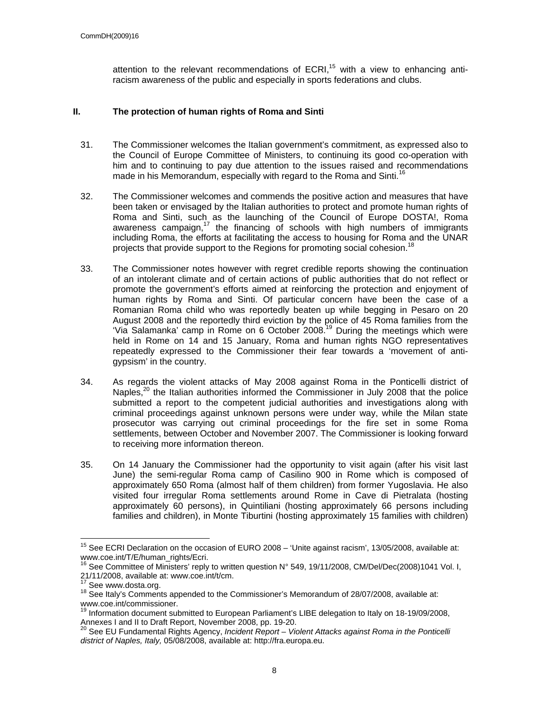attention to the relevant recommendations of  $ECRI<sub>15</sub>$  with a view to enhancing antiracism awareness of the public and especially in sports federations and clubs.

### **II. The protection of human rights of Roma and Sinti**

- 31. The Commissioner welcomes the Italian government's commitment, as expressed also to the Council of Europe Committee of Ministers, to continuing its good co-operation with him and to continuing to pay due attention to the issues raised and recommendations made in his Memorandum, especially with regard to the Roma and Sinti.<sup>16</sup>
- 32. The Commissioner welcomes and commends the positive action and measures that have been taken or envisaged by the Italian authorities to protect and promote human rights of Roma and Sinti, such as the launching of the Council of Europe DOSTA!, Roma awareness campaign,<sup>17</sup> the financing of schools with high numbers of immigrants including Roma, the efforts at facilitating the access to housing for Roma and the UNAR projects that provide support to the Regions for promoting social cohesion.<sup>18</sup>
- 33. The Commissioner notes however with regret credible reports showing the continuation of an intolerant climate and of certain actions of public authorities that do not reflect or promote the government's efforts aimed at reinforcing the protection and enjoyment of human rights by Roma and Sinti. Of particular concern have been the case of a Romanian Roma child who was reportedly beaten up while begging in Pesaro on 20 August 2008 and the reportedly third eviction by the police of 45 Roma families from the 'Via Salamanka' camp in Rome on 6 October 2008.<sup>19</sup> During the meetings which were held in Rome on 14 and 15 January, Roma and human rights NGO representatives repeatedly expressed to the Commissioner their fear towards a 'movement of antigypsism' in the country.
- 34. As regards the violent attacks of May 2008 against Roma in the Ponticelli district of Naples, $^{20}$  the Italian authorities informed the Commissioner in July 2008 that the police submitted a report to the competent judicial authorities and investigations along with criminal proceedings against unknown persons were under way, while the Milan state prosecutor was carrying out criminal proceedings for the fire set in some Roma settlements, between October and November 2007. The Commissioner is looking forward to receiving more information thereon.
- 35. On 14 January the Commissioner had the opportunity to visit again (after his visit last June) the semi-regular Roma camp of Casilino 900 in Rome which is composed of approximately 650 Roma (almost half of them children) from former Yugoslavia. He also visited four irregular Roma settlements around Rome in Cave di Pietralata (hosting approximately 60 persons), in Quintiliani (hosting approximately 66 persons including families and children), in Monte Tiburtini (hosting approximately 15 families with children)

 $\overline{a}$ 

<sup>&</sup>lt;sup>15</sup> See ECRI Declaration on the occasion of EURO 2008 – 'Unite against racism', 13/05/2008, available at: www.coe.int/T/E/human\_rights/Ecri.

<sup>&</sup>lt;sup>16</sup> See Committee of Ministers' reply to written question N° 549, 19/11/2008, CM/Del/Dec(2008)1041 Vol. I, 21/11/2008, available at: www.coe.int/t/cm.<br> $\frac{17}{10}$  See www.dosta.org.

<sup>&</sup>lt;sup>18</sup> See Italy's Comments appended to the Commissioner's Memorandum of 28/07/2008, available at: www.coe.int/commissioner.

<sup>&</sup>lt;sup>19</sup> Information document submitted to European Parliament's LIBE delegation to Italy on 18-19/09/2008, Annexes I and II to Draft Report, November 2008, pp. 19-20.

<sup>20</sup> See EU Fundamental Rights Agency, *Incident Report – Violent Attacks against Roma in the Ponticelli district of Naples, Italy,* 05/08/2008, available at: http://fra.europa.eu.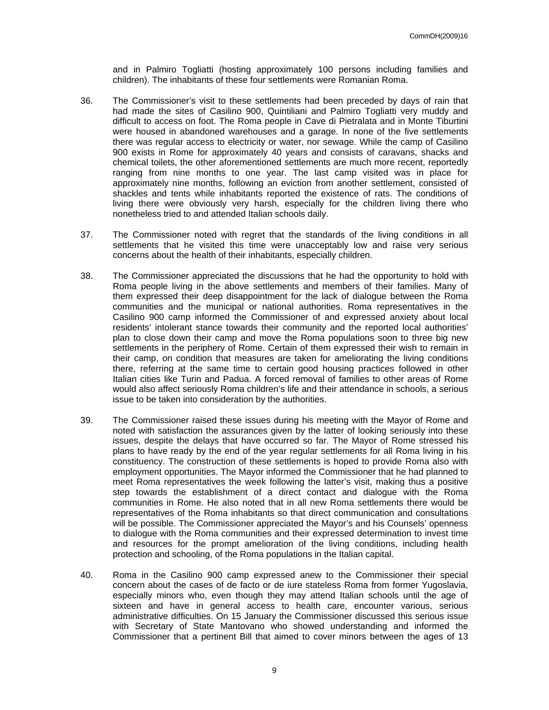and in Palmiro Togliatti (hosting approximately 100 persons including families and children). The inhabitants of these four settlements were Romanian Roma.

- 36. The Commissioner's visit to these settlements had been preceded by days of rain that had made the sites of Casilino 900, Quintiliani and Palmiro Togliatti very muddy and difficult to access on foot. The Roma people in Cave di Pietralata and in Monte Tiburtini were housed in abandoned warehouses and a garage. In none of the five settlements there was regular access to electricity or water, nor sewage. While the camp of Casilino 900 exists in Rome for approximately 40 years and consists of caravans, shacks and chemical toilets, the other aforementioned settlements are much more recent, reportedly ranging from nine months to one year. The last camp visited was in place for approximately nine months, following an eviction from another settlement, consisted of shackles and tents while inhabitants reported the existence of rats. The conditions of living there were obviously very harsh, especially for the children living there who nonetheless tried to and attended Italian schools daily.
- 37. The Commissioner noted with regret that the standards of the living conditions in all settlements that he visited this time were unacceptably low and raise very serious concerns about the health of their inhabitants, especially children.
- 38. The Commissioner appreciated the discussions that he had the opportunity to hold with Roma people living in the above settlements and members of their families. Many of them expressed their deep disappointment for the lack of dialogue between the Roma communities and the municipal or national authorities. Roma representatives in the Casilino 900 camp informed the Commissioner of and expressed anxiety about local residents' intolerant stance towards their community and the reported local authorities' plan to close down their camp and move the Roma populations soon to three big new settlements in the periphery of Rome. Certain of them expressed their wish to remain in their camp, on condition that measures are taken for ameliorating the living conditions there, referring at the same time to certain good housing practices followed in other Italian cities like Turin and Padua. A forced removal of families to other areas of Rome would also affect seriously Roma children's life and their attendance in schools, a serious issue to be taken into consideration by the authorities.
- 39. The Commissioner raised these issues during his meeting with the Mayor of Rome and noted with satisfaction the assurances given by the latter of looking seriously into these issues, despite the delays that have occurred so far. The Mayor of Rome stressed his plans to have ready by the end of the year regular settlements for all Roma living in his constituency. The construction of these settlements is hoped to provide Roma also with employment opportunities. The Mayor informed the Commissioner that he had planned to meet Roma representatives the week following the latter's visit, making thus a positive step towards the establishment of a direct contact and dialogue with the Roma communities in Rome. He also noted that in all new Roma settlements there would be representatives of the Roma inhabitants so that direct communication and consultations will be possible. The Commissioner appreciated the Mayor's and his Counsels' openness to dialogue with the Roma communities and their expressed determination to invest time and resources for the prompt amelioration of the living conditions, including health protection and schooling, of the Roma populations in the Italian capital.
- 40. Roma in the Casilino 900 camp expressed anew to the Commissioner their special concern about the cases of de facto or de iure stateless Roma from former Yugoslavia, especially minors who, even though they may attend Italian schools until the age of sixteen and have in general access to health care, encounter various, serious administrative difficulties. On 15 January the Commissioner discussed this serious issue with Secretary of State Mantovano who showed understanding and informed the Commissioner that a pertinent Bill that aimed to cover minors between the ages of 13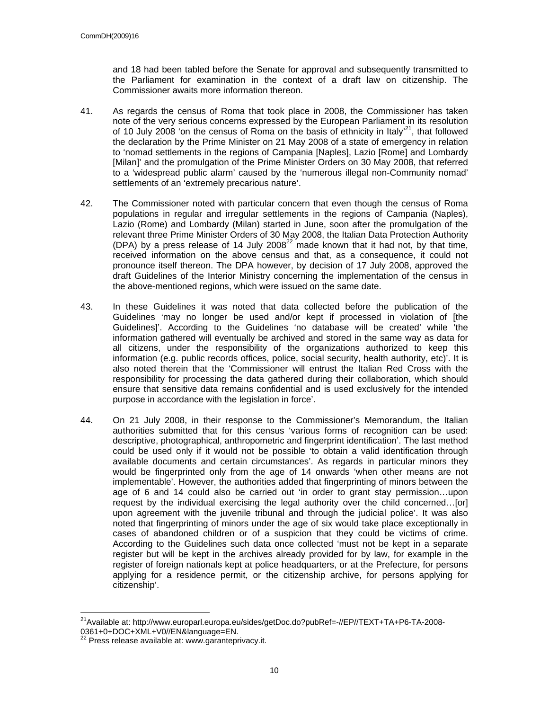and 18 had been tabled before the Senate for approval and subsequently transmitted to the Parliament for examination in the context of a draft law on citizenship. The Commissioner awaits more information thereon.

- 41. As regards the census of Roma that took place in 2008, the Commissioner has taken note of the very serious concerns expressed by the European Parliament in its resolution of 10 July 2008 'on the census of Roma on the basis of ethnicity in Italy<sup>21</sup>, that followed the declaration by the Prime Minister on 21 May 2008 of a state of emergency in relation to 'nomad settlements in the regions of Campania [Naples], Lazio [Rome] and Lombardy [Milan]' and the promulgation of the Prime Minister Orders on 30 May 2008, that referred to a 'widespread public alarm' caused by the 'numerous illegal non-Community nomad' settlements of an 'extremely precarious nature'.
- 42. The Commissioner noted with particular concern that even though the census of Roma populations in regular and irregular settlements in the regions of Campania (Naples), Lazio (Rome) and Lombardy (Milan) started in June, soon after the promulgation of the relevant three Prime Minister Orders of 30 May 2008, the Italian Data Protection Authority (DPA) by a press release of 14 July 2008<sup>22</sup> made known that it had not, by that time, received information on the above census and that, as a consequence, it could not pronounce itself thereon. The DPA however, by decision of 17 July 2008, approved the draft Guidelines of the Interior Ministry concerning the implementation of the census in the above-mentioned regions, which were issued on the same date.
- 43. In these Guidelines it was noted that data collected before the publication of the Guidelines 'may no longer be used and/or kept if processed in violation of [the Guidelines]'. According to the Guidelines 'no database will be created' while 'the information gathered will eventually be archived and stored in the same way as data for all citizens, under the responsibility of the organizations authorized to keep this information (e.g. public records offices, police, social security, health authority, etc)'. It is also noted therein that the 'Commissioner will entrust the Italian Red Cross with the responsibility for processing the data gathered during their collaboration, which should ensure that sensitive data remains confidential and is used exclusively for the intended purpose in accordance with the legislation in force'.
- 44. On 21 July 2008, in their response to the Commissioner's Memorandum, the Italian authorities submitted that for this census 'various forms of recognition can be used: descriptive, photographical, anthropometric and fingerprint identification'. The last method could be used only if it would not be possible 'to obtain a valid identification through available documents and certain circumstances'. As regards in particular minors they would be fingerprinted only from the age of 14 onwards 'when other means are not implementable'. However, the authorities added that fingerprinting of minors between the age of 6 and 14 could also be carried out 'in order to grant stay permission…upon request by the individual exercising the legal authority over the child concerned…[or] upon agreement with the juvenile tribunal and through the judicial police'. It was also noted that fingerprinting of minors under the age of six would take place exceptionally in cases of abandoned children or of a suspicion that they could be victims of crime. According to the Guidelines such data once collected 'must not be kept in a separate register but will be kept in the archives already provided for by law, for example in the register of foreign nationals kept at police headquarters, or at the Prefecture, for persons applying for a residence permit, or the citizenship archive, for persons applying for citizenship'.

 $\overline{a}$ <sup>21</sup>Available at: http://www.europarl.europa.eu/sides/getDoc.do?pubRef=-//EP//TEXT+TA+P6-TA-2008-0361+0+DOC+XML+V0//EN&language=EN.

Press release available at: www.garanteprivacy.it.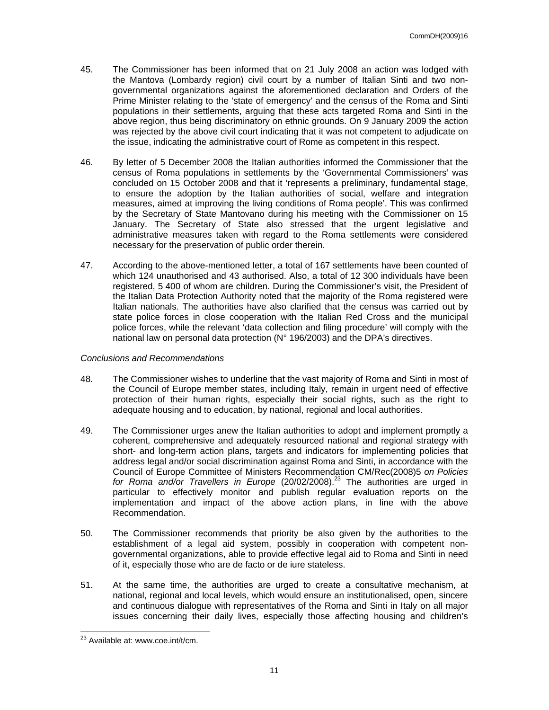- 45. The Commissioner has been informed that on 21 July 2008 an action was lodged with the Mantova (Lombardy region) civil court by a number of Italian Sinti and two nongovernmental organizations against the aforementioned declaration and Orders of the Prime Minister relating to the 'state of emergency' and the census of the Roma and Sinti populations in their settlements, arguing that these acts targeted Roma and Sinti in the above region, thus being discriminatory on ethnic grounds. On 9 January 2009 the action was rejected by the above civil court indicating that it was not competent to adjudicate on the issue, indicating the administrative court of Rome as competent in this respect.
- 46. By letter of 5 December 2008 the Italian authorities informed the Commissioner that the census of Roma populations in settlements by the 'Governmental Commissioners' was concluded on 15 October 2008 and that it 'represents a preliminary, fundamental stage, to ensure the adoption by the Italian authorities of social, welfare and integration measures, aimed at improving the living conditions of Roma people'. This was confirmed by the Secretary of State Mantovano during his meeting with the Commissioner on 15 January. The Secretary of State also stressed that the urgent legislative and administrative measures taken with regard to the Roma settlements were considered necessary for the preservation of public order therein.
- 47. According to the above-mentioned letter, a total of 167 settlements have been counted of which 124 unauthorised and 43 authorised. Also, a total of 12 300 individuals have been registered, 5 400 of whom are children. During the Commissioner's visit, the President of the Italian Data Protection Authority noted that the majority of the Roma registered were Italian nationals. The authorities have also clarified that the census was carried out by state police forces in close cooperation with the Italian Red Cross and the municipal police forces, while the relevant 'data collection and filing procedure' will comply with the national law on personal data protection (N° 196/2003) and the DPA's directives.

#### *Conclusions and Recommendations*

- 48. The Commissioner wishes to underline that the vast majority of Roma and Sinti in most of the Council of Europe member states, including Italy, remain in urgent need of effective protection of their human rights, especially their social rights, such as the right to adequate housing and to education, by national, regional and local authorities.
- 49. The Commissioner urges anew the Italian authorities to adopt and implement promptly a coherent, comprehensive and adequately resourced national and regional strategy with short- and long-term action plans, targets and indicators for implementing policies that address legal and/or social discrimination against Roma and Sinti, in accordance with the Council of Europe Committee of Ministers Recommendation CM/Rec(2008)5 *on Policies*  for Roma and/or Travellers in Europe (20/02/2008).<sup>23</sup> The authorities are urged in particular to effectively monitor and publish regular evaluation reports on the implementation and impact of the above action plans, in line with the above Recommendation.
- 50. The Commissioner recommends that priority be also given by the authorities to the establishment of a legal aid system, possibly in cooperation with competent nongovernmental organizations, able to provide effective legal aid to Roma and Sinti in need of it, especially those who are de facto or de iure stateless.
- 51. At the same time, the authorities are urged to create a consultative mechanism, at national, regional and local levels, which would ensure an institutionalised, open, sincere and continuous dialogue with representatives of the Roma and Sinti in Italy on all major issues concerning their daily lives, especially those affecting housing and children's

 $\overline{a}$  $23$  Available at: www.coe.int/t/cm.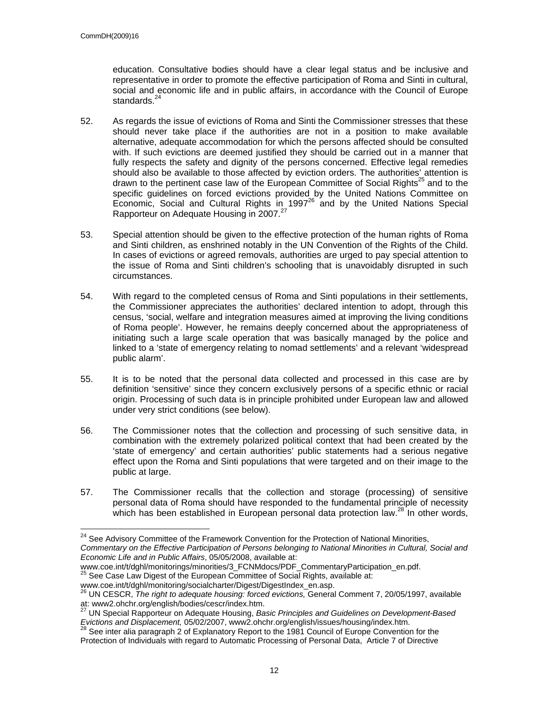$\overline{a}$ 

education. Consultative bodies should have a clear legal status and be inclusive and representative in order to promote the effective participation of Roma and Sinti in cultural, social and economic life and in public affairs, in accordance with the Council of Europe standards. $^{24}$ 

- 52. As regards the issue of evictions of Roma and Sinti the Commissioner stresses that these should never take place if the authorities are not in a position to make available alternative, adequate accommodation for which the persons affected should be consulted with. If such evictions are deemed justified they should be carried out in a manner that fully respects the safety and dignity of the persons concerned. Effective legal remedies should also be available to those affected by eviction orders. The authorities' attention is drawn to the pertinent case law of the European Committee of Social Rights<sup>25</sup> and to the specific guidelines on forced evictions provided by the United Nations Committee on Economic, Social and Cultural Rights in 1997 $^{26}$  and by the United Nations Special Rapporteur on Adequate Housing in 2007.<sup>27</sup>
- 53. Special attention should be given to the effective protection of the human rights of Roma and Sinti children, as enshrined notably in the UN Convention of the Rights of the Child. In cases of evictions or agreed removals, authorities are urged to pay special attention to the issue of Roma and Sinti children's schooling that is unavoidably disrupted in such circumstances.
- 54. With regard to the completed census of Roma and Sinti populations in their settlements, the Commissioner appreciates the authorities' declared intention to adopt, through this census, 'social, welfare and integration measures aimed at improving the living conditions of Roma people'. However, he remains deeply concerned about the appropriateness of initiating such a large scale operation that was basically managed by the police and linked to a 'state of emergency relating to nomad settlements' and a relevant 'widespread public alarm'.
- 55. It is to be noted that the personal data collected and processed in this case are by definition 'sensitive' since they concern exclusively persons of a specific ethnic or racial origin. Processing of such data is in principle prohibited under European law and allowed under very strict conditions (see below).
- 56. The Commissioner notes that the collection and processing of such sensitive data, in combination with the extremely polarized political context that had been created by the 'state of emergency' and certain authorities' public statements had a serious negative effect upon the Roma and Sinti populations that were targeted and on their image to the public at large.
- 57. The Commissioner recalls that the collection and storage (processing) of sensitive personal data of Roma should have responded to the fundamental principle of necessity which has been established in European personal data protection law.<sup>28</sup> In other words,

<sup>&</sup>lt;sup>24</sup> See Advisory Committee of the Framework Convention for the Protection of National Minorities, *Commentary on the Effective Participation of Persons belonging to National Minorities in Cultural, Social and Economic Life and in Public Affairs*, 05/05/2008, available at:

www.coe.int/t/dghl/monitorings/minorities/3\_FCNMdocs/PDF\_CommentaryParticipation\_en.pdf. <sup>25</sup> See Case Law Digest of the European Committee of Social Rights, available at:

www.coe.int/t/dghl/monitoring/socialcharter/Digest/DigestIndex\_en.asp.<br><sup>26</sup> UN CESCR, *The right to adequate housing: forced evictions,* General Comment 7, 20/05/1997, available at: www2.ohchr.org/english/bodies/cescr/index.htm.

<sup>27</sup> UN Special Rapporteur on Adequate Housing, *Basic Principles and Guidelines on Development-Based Evictions and Displacement,* 05/02/2007, www2.ohchr.org/english/issues/housing/index.htm.<br><sup>28</sup> See inter alia paragraph 2 of Explanatory Report to the 1981 Council of Europe Convention for the

Protection of Individuals with regard to Automatic Processing of Personal Data, Article 7 of Directive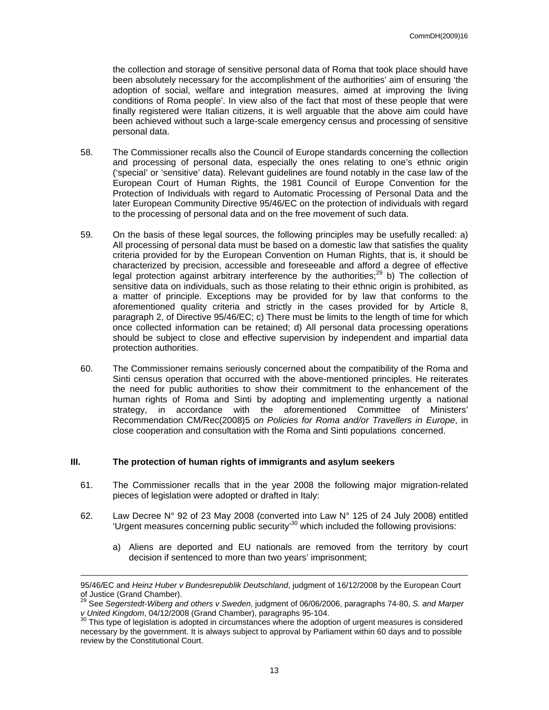the collection and storage of sensitive personal data of Roma that took place should have been absolutely necessary for the accomplishment of the authorities' aim of ensuring 'the adoption of social, welfare and integration measures, aimed at improving the living conditions of Roma people'. In view also of the fact that most of these people that were finally registered were Italian citizens, it is well arguable that the above aim could have been achieved without such a large-scale emergency census and processing of sensitive personal data.

- 58. The Commissioner recalls also the Council of Europe standards concerning the collection and processing of personal data, especially the ones relating to one's ethnic origin ('special' or 'sensitive' data). Relevant guidelines are found notably in the case law of the European Court of Human Rights, the 1981 Council of Europe Convention for the Protection of Individuals with regard to Automatic Processing of Personal Data and the later European Community Directive 95/46/EC on the protection of individuals with regard to the processing of personal data and on the free movement of such data.
- 59. On the basis of these legal sources, the following principles may be usefully recalled: a) All processing of personal data must be based on a domestic law that satisfies the quality criteria provided for by the European Convention on Human Rights, that is, it should be characterized by precision, accessible and foreseeable and afford a degree of effective legal protection against arbitrary interference by the authorities; $^{29}$  b) The collection of sensitive data on individuals, such as those relating to their ethnic origin is prohibited, as a matter of principle. Exceptions may be provided for by law that conforms to the aforementioned quality criteria and strictly in the cases provided for by Article 8, paragraph 2, of Directive 95/46/EC; c) There must be limits to the length of time for which once collected information can be retained; d) All personal data processing operations should be subject to close and effective supervision by independent and impartial data protection authorities.
- 60. The Commissioner remains seriously concerned about the compatibility of the Roma and Sinti census operation that occurred with the above-mentioned principles. He reiterates the need for public authorities to show their commitment to the enhancement of the human rights of Roma and Sinti by adopting and implementing urgently a national strategy, in accordance with the aforementioned Committee of Ministers' Recommendation CM/Rec(2008)5 *on Policies for Roma and/or Travellers in Europe*, in close cooperation and consultation with the Roma and Sinti populations concerned.

### **III. The protection of human rights of immigrants and asylum seekers**

1

- 61. The Commissioner recalls that in the year 2008 the following major migration-related pieces of legislation were adopted or drafted in Italy:
- 62. Law Decree N° 92 of 23 May 2008 (converted into Law N° 125 of 24 July 2008) entitled 'Urgent measures concerning public security'<sup>30</sup> which included the following provisions:
	- a) Aliens are deported and EU nationals are removed from the territory by court decision if sentenced to more than two years' imprisonment;

<sup>95/46/</sup>EC and *Heinz Huber v Bundesrepublik Deutschland*, judgment of 16/12/2008 by the European Court of Justice (Grand Chamber).

<sup>29</sup> See *Segerstedt-Wiberg and others v Sweden*, judgment of 06/06/2006, paragraphs 74-80, *S. and Marper v United Kingdom*, 04/12/2008 (Grand Chamber), paragraphs 95-104.<br><sup>30</sup> This type of legislation is adopted in circumstances where the adoption of urgent measures is considered

necessary by the government. It is always subject to approval by Parliament within 60 days and to possible review by the Constitutional Court.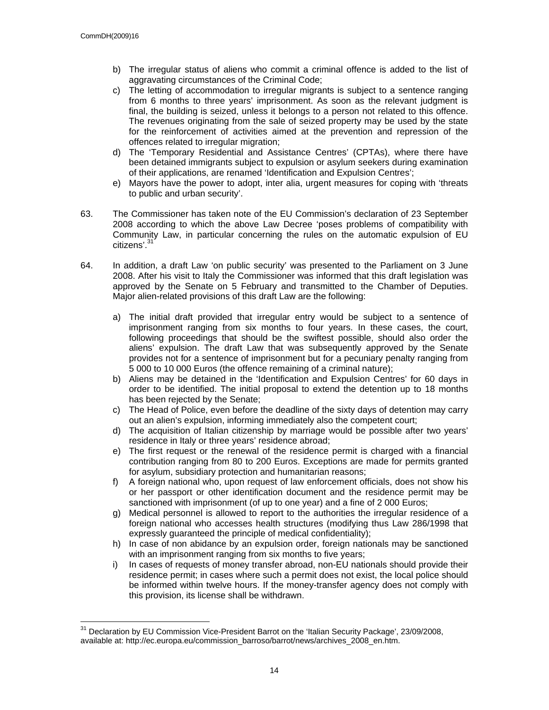- b) The irregular status of aliens who commit a criminal offence is added to the list of aggravating circumstances of the Criminal Code;
- c) The letting of accommodation to irregular migrants is subject to a sentence ranging from 6 months to three years' imprisonment. As soon as the relevant judgment is final, the building is seized, unless it belongs to a person not related to this offence. The revenues originating from the sale of seized property may be used by the state for the reinforcement of activities aimed at the prevention and repression of the offences related to irregular migration;
- d) The 'Temporary Residential and Assistance Centres' (CPTAs), where there have been detained immigrants subject to expulsion or asylum seekers during examination of their applications, are renamed 'Identification and Expulsion Centres';
- e) Mayors have the power to adopt, inter alia, urgent measures for coping with 'threats to public and urban security'.
- 63. The Commissioner has taken note of the EU Commission's declaration of 23 September 2008 according to which the above Law Decree 'poses problems of compatibility with Community Law, in particular concerning the rules on the automatic expulsion of EU citizens'.<sup>3</sup>
- 64. In addition, a draft Law 'on public security' was presented to the Parliament on 3 June 2008. After his visit to Italy the Commissioner was informed that this draft legislation was approved by the Senate on 5 February and transmitted to the Chamber of Deputies. Major alien-related provisions of this draft Law are the following:
	- a) The initial draft provided that irregular entry would be subject to a sentence of imprisonment ranging from six months to four years. In these cases, the court, following proceedings that should be the swiftest possible, should also order the aliens' expulsion. The draft Law that was subsequently approved by the Senate provides not for a sentence of imprisonment but for a pecuniary penalty ranging from 5 000 to 10 000 Euros (the offence remaining of a criminal nature);
	- b) Aliens may be detained in the 'Identification and Expulsion Centres' for 60 days in order to be identified. The initial proposal to extend the detention up to 18 months has been rejected by the Senate;
	- c) The Head of Police, even before the deadline of the sixty days of detention may carry out an alien's expulsion, informing immediately also the competent court;
	- d) The acquisition of Italian citizenship by marriage would be possible after two years' residence in Italy or three years' residence abroad;
	- e) The first request or the renewal of the residence permit is charged with a financial contribution ranging from 80 to 200 Euros. Exceptions are made for permits granted for asylum, subsidiary protection and humanitarian reasons;
	- f) A foreign national who, upon request of law enforcement officials, does not show his or her passport or other identification document and the residence permit may be sanctioned with imprisonment (of up to one year) and a fine of 2 000 Euros;
	- g) Medical personnel is allowed to report to the authorities the irregular residence of a foreign national who accesses health structures (modifying thus Law 286/1998 that expressly guaranteed the principle of medical confidentiality);
	- h) In case of non abidance by an expulsion order, foreign nationals may be sanctioned with an imprisonment ranging from six months to five years;
	- i) In cases of requests of money transfer abroad, non-EU nationals should provide their residence permit; in cases where such a permit does not exist, the local police should be informed within twelve hours. If the money-transfer agency does not comply with this provision, its license shall be withdrawn.

<sup>31</sup> 31 Declaration by EU Commission Vice-President Barrot on the 'Italian Security Package', 23/09/2008, available at: http://ec.europa.eu/commission\_barroso/barrot/news/archives\_2008\_en.htm.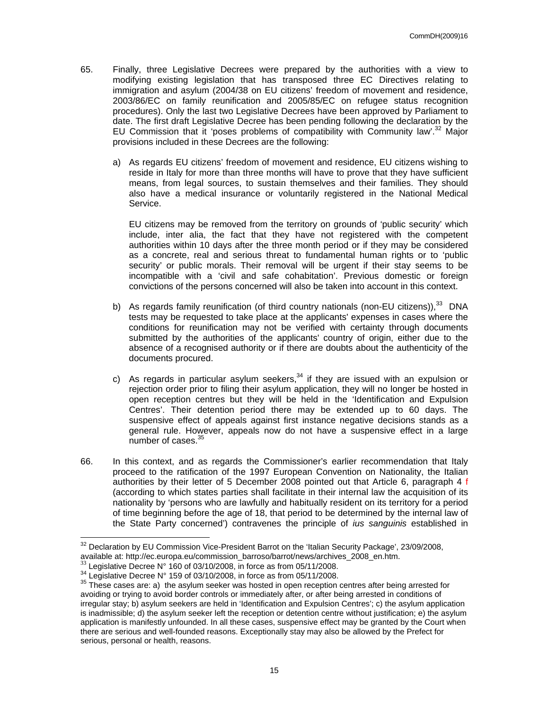- 65. Finally, three Legislative Decrees were prepared by the authorities with a view to modifying existing legislation that has transposed three EC Directives relating to immigration and asylum (2004/38 on EU citizens' freedom of movement and residence, 2003/86/EC on family reunification and 2005/85/EC on refugee status recognition procedures). Only the last two Legislative Decrees have been approved by Parliament to date. The first draft Legislative Decree has been pending following the declaration by the EU Commission that it 'poses problems of compatibility with Community law'.<sup>32</sup> Major provisions included in these Decrees are the following:
	- a) As regards EU citizens' freedom of movement and residence, EU citizens wishing to reside in Italy for more than three months will have to prove that they have sufficient means, from legal sources, to sustain themselves and their families. They should also have a medical insurance or voluntarily registered in the National Medical Service.

EU citizens may be removed from the territory on grounds of 'public security' which include, inter alia, the fact that they have not registered with the competent authorities within 10 days after the three month period or if they may be considered as a concrete, real and serious threat to fundamental human rights or to 'public security' or public morals. Their removal will be urgent if their stay seems to be incompatible with a 'civil and safe cohabitation'. Previous domestic or foreign convictions of the persons concerned will also be taken into account in this context.

- b) As regards family reunification (of third country nationals (non-EU citizens)),<sup>33</sup> DNA tests may be requested to take place at the applicants' expenses in cases where the conditions for reunification may not be verified with certainty through documents submitted by the authorities of the applicants' country of origin, either due to the absence of a recognised authority or if there are doubts about the authenticity of the documents procured.
- c) As regards in particular asylum seekers,  $34$  if they are issued with an expulsion or rejection order prior to filing their asylum application, they will no longer be hosted in open reception centres but they will be held in the 'Identification and Expulsion Centres'. Their detention period there may be extended up to 60 days. The suspensive effect of appeals against first instance negative decisions stands as a general rule. However, appeals now do not have a suspensive effect in a large number of cases.<sup>35</sup>
- 66. In this context, and as regards the Commissioner's earlier recommendation that Italy proceed to the ratification of the 1997 European Convention on Nationality, the Italian authorities by their letter of 5 December 2008 pointed out that Article 6, paragraph 4 f (according to which states parties shall facilitate in their internal law the acquisition of its nationality by 'persons who are lawfully and habitually resident on its territory for a period of time beginning before the age of 18, that period to be determined by the internal law of the State Party concerned') contravenes the principle of *ius sanguinis* established in

 $\overline{a}$  $32$  Declaration by EU Commission Vice-President Barrot on the 'Italian Security Package', 23/09/2008, available at: http://ec.europa.eu/commission\_barroso/barrot/news/archives\_2008\_en.htm.<br>
<sup>33</sup> Legislative Decree N° 160 of 03/10/2008, in force as from 05/11/2008.<br>
<sup>34</sup> Legislative Decree N° 159 of 03/10/2008, in force as

avoiding or trying to avoid border controls or immediately after, or after being arrested in conditions of irregular stay; b) asylum seekers are held in 'Identification and Expulsion Centres'; c) the asylum application is inadmissible; d) the asylum seeker left the reception or detention centre without justification; e) the asylum application is manifestly unfounded. In all these cases, suspensive effect may be granted by the Court when there are serious and well-founded reasons. Exceptionally stay may also be allowed by the Prefect for serious, personal or health, reasons.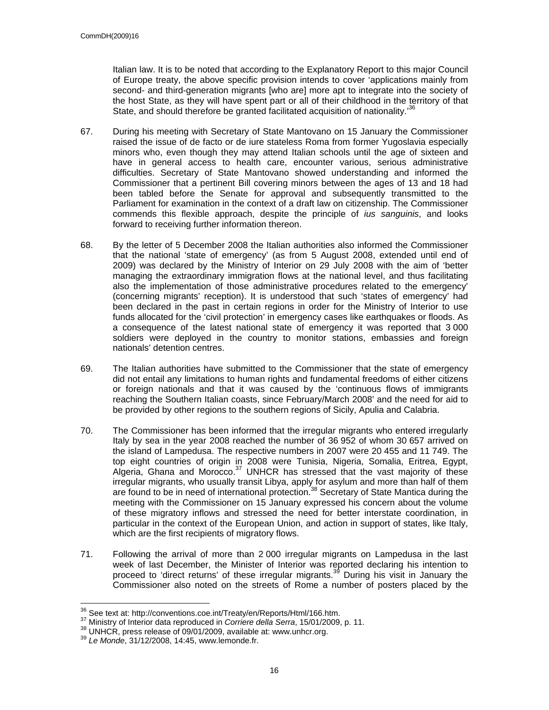Italian law. It is to be noted that according to the Explanatory Report to this major Council of Europe treaty, the above specific provision intends to cover 'applications mainly from second- and third-generation migrants [who are] more apt to integrate into the society of the host State, as they will have spent part or all of their childhood in the territory of that State, and should therefore be granted facilitated acquisition of nationality.<sup>36</sup>

- 67. During his meeting with Secretary of State Mantovano on 15 January the Commissioner raised the issue of de facto or de iure stateless Roma from former Yugoslavia especially minors who, even though they may attend Italian schools until the age of sixteen and have in general access to health care, encounter various, serious administrative difficulties. Secretary of State Mantovano showed understanding and informed the Commissioner that a pertinent Bill covering minors between the ages of 13 and 18 had been tabled before the Senate for approval and subsequently transmitted to the Parliament for examination in the context of a draft law on citizenship. The Commissioner commends this flexible approach, despite the principle of *ius sanguinis*, and looks forward to receiving further information thereon.
- 68. By the letter of 5 December 2008 the Italian authorities also informed the Commissioner that the national 'state of emergency' (as from 5 August 2008, extended until end of 2009) was declared by the Ministry of Interior on 29 July 2008 with the aim of 'better managing the extraordinary immigration flows at the national level, and thus facilitating also the implementation of those administrative procedures related to the emergency' (concerning migrants' reception). It is understood that such 'states of emergency' had been declared in the past in certain regions in order for the Ministry of Interior to use funds allocated for the 'civil protection' in emergency cases like earthquakes or floods. As a consequence of the latest national state of emergency it was reported that 3 000 soldiers were deployed in the country to monitor stations, embassies and foreign nationals' detention centres.
- 69. The Italian authorities have submitted to the Commissioner that the state of emergency did not entail any limitations to human rights and fundamental freedoms of either citizens or foreign nationals and that it was caused by the 'continuous flows of immigrants reaching the Southern Italian coasts, since February/March 2008' and the need for aid to be provided by other regions to the southern regions of Sicily, Apulia and Calabria.
- 70. The Commissioner has been informed that the irregular migrants who entered irregularly Italy by sea in the year 2008 reached the number of 36 952 of whom 30 657 arrived on the island of Lampedusa. The respective numbers in 2007 were 20 455 and 11 749. The top eight countries of origin in 2008 were Tunisia, Nigeria, Somalia, Eritrea, Egypt, Algeria, Ghana and Morocco. $37$  UNHCR has stressed that the vast majority of these irregular migrants, who usually transit Libya, apply for asylum and more than half of them are found to be in need of international protection.<sup>38</sup> Secretary of State Mantica during the meeting with the Commissioner on 15 January expressed his concern about the volume of these migratory inflows and stressed the need for better interstate coordination, in particular in the context of the European Union, and action in support of states, like Italy, which are the first recipients of migratory flows.
- 71. Following the arrival of more than 2 000 irregular migrants on Lampedusa in the last week of last December, the Minister of Interior was reported declaring his intention to proceed to 'direct returns' of these irregular migrants.<sup>39</sup> During his visit in January the Commissioner also noted on the streets of Rome a number of posters placed by the

<sup>&</sup>lt;sup>36</sup> See text at: http://conventions.coe.int/Treaty/en/Reports/Html/166.htm.

<sup>&</sup>lt;sup>37</sup> Ministry of Interior data reproduced in Corriere della Serra, 15/01/2009, p. 11.<br><sup>38</sup> UNHCR, press release of 09/01/2009, available at: www.unhcr.org.<br><sup>39</sup> Le Monde, 31/12/2008, 14:45, www.lemonde.fr.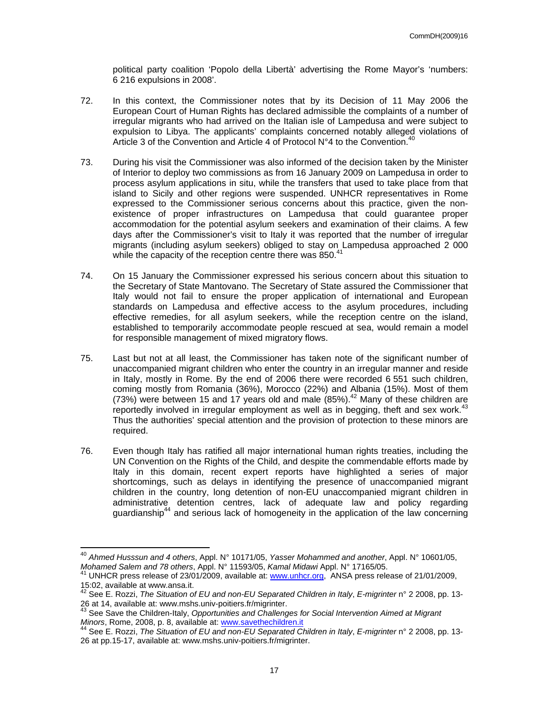political party coalition 'Popolo della Libertà' advertising the Rome Mayor's 'numbers: 6 216 expulsions in 2008'.

- 72. In this context, the Commissioner notes that by its Decision of 11 May 2006 the European Court of Human Rights has declared admissible the complaints of a number of irregular migrants who had arrived on the Italian isle of Lampedusa and were subject to expulsion to Libya. The applicants' complaints concerned notably alleged violations of Article 3 of the Convention and Article 4 of Protocol  $N^{\circ}4$  to the Convention.<sup>40</sup>
- 73. During his visit the Commissioner was also informed of the decision taken by the Minister of Interior to deploy two commissions as from 16 January 2009 on Lampedusa in order to process asylum applications in situ, while the transfers that used to take place from that island to Sicily and other regions were suspended. UNHCR representatives in Rome expressed to the Commissioner serious concerns about this practice, given the nonexistence of proper infrastructures on Lampedusa that could guarantee proper accommodation for the potential asylum seekers and examination of their claims. A few days after the Commissioner's visit to Italy it was reported that the number of irregular migrants (including asylum seekers) obliged to stay on Lampedusa approached 2 000 while the capacity of the reception centre there was 850.<sup>41</sup>
- 74. On 15 January the Commissioner expressed his serious concern about this situation to the Secretary of State Mantovano. The Secretary of State assured the Commissioner that Italy would not fail to ensure the proper application of international and European standards on Lampedusa and effective access to the asylum procedures, including effective remedies, for all asylum seekers, while the reception centre on the island, established to temporarily accommodate people rescued at sea, would remain a model for responsible management of mixed migratory flows.
- 75. Last but not at all least, the Commissioner has taken note of the significant number of unaccompanied migrant children who enter the country in an irregular manner and reside in Italy, mostly in Rome. By the end of 2006 there were recorded 6 551 such children, coming mostly from Romania (36%), Morocco (22%) and Albania (15%). Most of them  $(73%)$  were between 15 and 17 years old and male  $(85%)$ .<sup>42</sup> Many of these children are reportedly involved in irregular employment as well as in begging, theft and sex work. $43$ Thus the authorities' special attention and the provision of protection to these minors are required.
- 76. Even though Italy has ratified all major international human rights treaties, including the UN Convention on the Rights of the Child, and despite the commendable efforts made by Italy in this domain, recent expert reports have highlighted a series of major shortcomings, such as delays in identifying the presence of unaccompanied migrant children in the country, long detention of non-EU unaccompanied migrant children in administrative detention centres, lack of adequate law and policy regarding guardianship<sup>44</sup> and serious lack of homogeneity in the application of the law concerning

 $\overline{a}$ 

<sup>40</sup> *Ahmed Husssun and 4 others*, Appl. N° 10171/05, *Yasser Mohammed and another*, Appl. N° 10601/05, *Mohamed Salem and 78 others*, Appl. N° 11593/05, *Kamal Midawi* Appl. N° 17165/05.<br><sup>41</sup> UNHCR press release of 23/01/2009, available at: www.unhcr.org, ANSA press release of 21/01/2009,

<sup>15:02,</sup> available at www.ansa.it.

<sup>42</sup> See E. Rozzi, *The Situation of EU and non-EU Separated Children in Italy*, *E-migrinter* n° 2 2008, pp. 13- 26 at 14, available at: www.mshs.univ-poitiers.fr/migrinter.

<sup>43</sup> See Save the Children-Italy, *Opportunities and Challenges for Social Intervention Aimed at Migrant Minors*, Rome, 2008, p. 8, available at: www.savethechildren.it 44 See E. Rozzi, *The Situation of EU and non-EU Separated Children in Italy*, *E-migrinter* n° 2 2008, pp. 13-

<sup>26</sup> at pp.15-17, available at: www.mshs.univ-poitiers.fr/migrinter.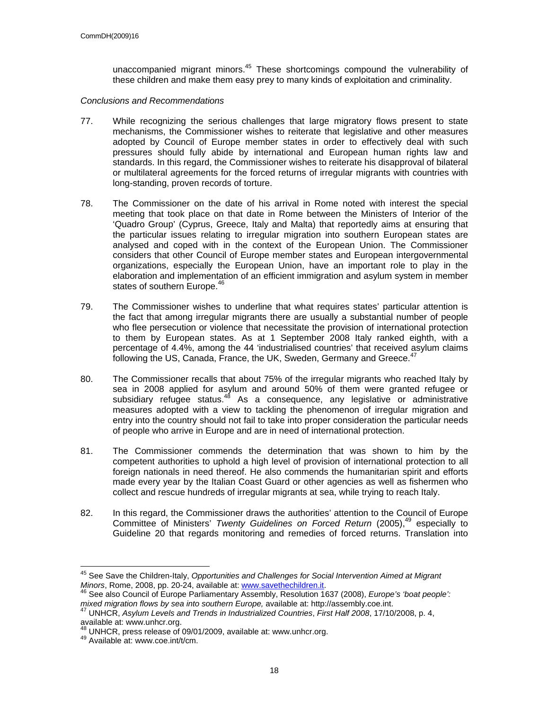unaccompanied migrant minors.<sup>45</sup> These shortcomings compound the vulnerability of these children and make them easy prey to many kinds of exploitation and criminality.

#### *Conclusions and Recommendations*

- 77. While recognizing the serious challenges that large migratory flows present to state mechanisms, the Commissioner wishes to reiterate that legislative and other measures adopted by Council of Europe member states in order to effectively deal with such pressures should fully abide by international and European human rights law and standards. In this regard, the Commissioner wishes to reiterate his disapproval of bilateral or multilateral agreements for the forced returns of irregular migrants with countries with long-standing, proven records of torture.
- 78. The Commissioner on the date of his arrival in Rome noted with interest the special meeting that took place on that date in Rome between the Ministers of Interior of the 'Quadro Group' (Cyprus, Greece, Italy and Malta) that reportedly aims at ensuring that the particular issues relating to irregular migration into southern European states are analysed and coped with in the context of the European Union. The Commissioner considers that other Council of Europe member states and European intergovernmental organizations, especially the European Union, have an important role to play in the elaboration and implementation of an efficient immigration and asylum system in member states of southern Europe.<sup>46</sup>
- 79. The Commissioner wishes to underline that what requires states' particular attention is the fact that among irregular migrants there are usually a substantial number of people who flee persecution or violence that necessitate the provision of international protection to them by European states. As at 1 September 2008 Italy ranked eighth, with a percentage of 4.4%, among the 44 'industrialised countries' that received asylum claims following the US, Canada, France, the UK, Sweden, Germany and Greece.<sup>47</sup>
- 80. The Commissioner recalls that about 75% of the irregular migrants who reached Italy by sea in 2008 applied for asylum and around 50% of them were granted refugee or subsidiary refugee status. $48$  As a consequence, any legislative or administrative measures adopted with a view to tackling the phenomenon of irregular migration and entry into the country should not fail to take into proper consideration the particular needs of people who arrive in Europe and are in need of international protection.
- 81. The Commissioner commends the determination that was shown to him by the competent authorities to uphold a high level of provision of international protection to all foreign nationals in need thereof. He also commends the humanitarian spirit and efforts made every year by the Italian Coast Guard or other agencies as well as fishermen who collect and rescue hundreds of irregular migrants at sea, while trying to reach Italy.
- 82. In this regard, the Commissioner draws the authorities' attention to the Council of Europe Committee of Ministers' *Twenty Guidelines on Forced Return* (2005),<sup>49</sup> especially to Guideline 20 that regards monitoring and remedies of forced returns. Translation into

 $\overline{\phantom{a}}$ 

<sup>&</sup>lt;sup>45</sup> See Save the Children-Italy, *Opportunities and Challenges for Social Intervention Aimed at Migrant Minors, Rome, 2008, pp. 20-24, available at: www.savethechildren.it.* 

<sup>&</sup>lt;sup>6</sup> See also Council of Europe Parliamentary Assembly, Resolution 1637 (2008), *Europe's 'boat people': mixed migration flows by sea into southern Europe,* available at: http://assembly.coe.int. 47 UNHCR, *Asylum Levels and Trends in Industrialized Countries*, *First Half 2008*, 17/10/2008, p. 4,

available at: www.unhcr.org.

 $^{48}$  UNHCR, press release of 09/01/2009, available at: www.unhcr.org.<br><sup>49</sup> Available at: www.coe.int/t/cm.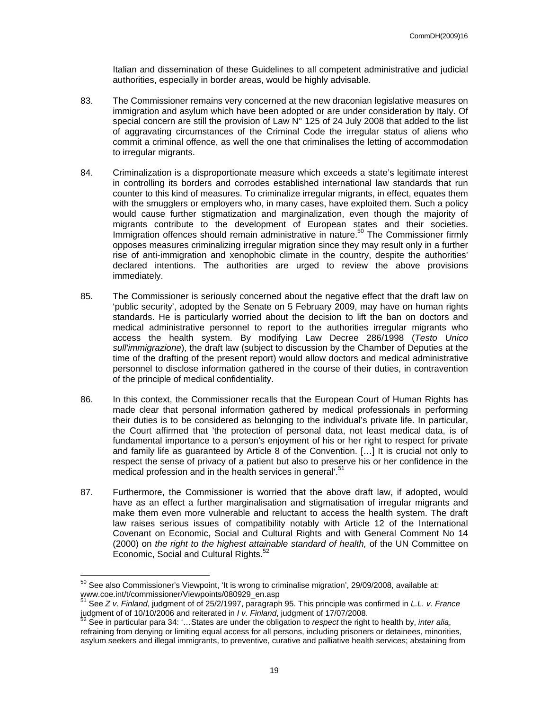Italian and dissemination of these Guidelines to all competent administrative and judicial authorities, especially in border areas, would be highly advisable.

- 83. The Commissioner remains very concerned at the new draconian legislative measures on immigration and asylum which have been adopted or are under consideration by Italy. Of special concern are still the provision of Law N° 125 of 24 July 2008 that added to the list of aggravating circumstances of the Criminal Code the irregular status of aliens who commit a criminal offence, as well the one that criminalises the letting of accommodation to irregular migrants.
- 84. Criminalization is a disproportionate measure which exceeds a state's legitimate interest in controlling its borders and corrodes established international law standards that run counter to this kind of measures. To criminalize irregular migrants, in effect, equates them with the smugglers or employers who, in many cases, have exploited them. Such a policy would cause further stigmatization and marginalization, even though the majority of migrants contribute to the development of European states and their societies. Immigration offences should remain administrative in nature.<sup>50</sup> The Commissioner firmly opposes measures criminalizing irregular migration since they may result only in a further rise of anti-immigration and xenophobic climate in the country, despite the authorities' declared intentions. The authorities are urged to review the above provisions immediately.
- 85. The Commissioner is seriously concerned about the negative effect that the draft law on 'public security', adopted by the Senate on 5 February 2009, may have on human rights standards. He is particularly worried about the decision to lift the ban on doctors and medical administrative personnel to report to the authorities irregular migrants who access the health system. By modifying Law Decree 286/1998 (*Testo Unico sull'immigrazione*), the draft law (subject to discussion by the Chamber of Deputies at the time of the drafting of the present report) would allow doctors and medical administrative personnel to disclose information gathered in the course of their duties, in contravention of the principle of medical confidentiality.
- 86. In this context, the Commissioner recalls that the European Court of Human Rights has made clear that personal information gathered by medical professionals in performing their duties is to be considered as belonging to the individual's private life. In particular, the Court affirmed that 'the protection of personal data, not least medical data, is of fundamental importance to a person's enjoyment of his or her right to respect for private and family life as guaranteed by Article 8 of the Convention. […] It is crucial not only to respect the sense of privacy of a patient but also to preserve his or her confidence in the medical profession and in the health services in general<sup>'.51</sup>
- 87. Furthermore, the Commissioner is worried that the above draft law, if adopted, would have as an effect a further marginalisation and stigmatisation of irregular migrants and make them even more vulnerable and reluctant to access the health system. The draft law raises serious issues of compatibility notably with Article 12 of the International Covenant on Economic, Social and Cultural Rights and with General Comment No 14 (2000) on *the right to the highest attainable standard of health,* of the UN Committee on Economic, Social and Cultural Rights.<sup>5</sup>

 $\overline{a}$ 

 $50$  See also Commissioner's Viewpoint, 'It is wrong to criminalise migration', 29/09/2008, available at: www.coe.int/t/commissioner/Viewpoints/080929\_en.asp<br>
<sup>51</sup> See *Z v. Finland*, judgment of of 25/2/1997, paragraph 95. This principle was confirmed in *L.L. v. France* 

judgment of of 10/10/2006 and reiterated in *I v. Finland*, judgment of 17/07/2008.<br><sup>52</sup> See in particular para 34: '...States are under the obligation to *respect* the right to health by, *inter alia*,

refraining from denying or limiting equal access for all persons, including prisoners or detainees, minorities, asylum seekers and illegal immigrants, to preventive, curative and palliative health services; abstaining from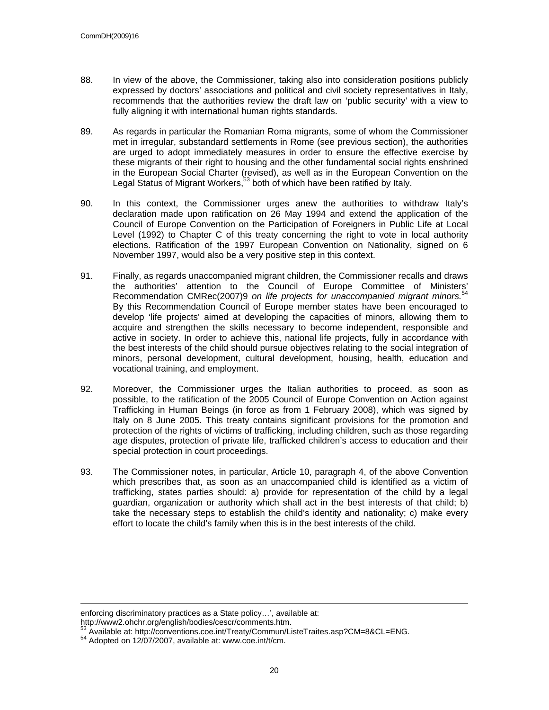- 88. In view of the above, the Commissioner, taking also into consideration positions publicly expressed by doctors' associations and political and civil society representatives in Italy, recommends that the authorities review the draft law on 'public security' with a view to fully aligning it with international human rights standards.
- 89. As regards in particular the Romanian Roma migrants, some of whom the Commissioner met in irregular, substandard settlements in Rome (see previous section), the authorities are urged to adopt immediately measures in order to ensure the effective exercise by these migrants of their right to housing and the other fundamental social rights enshrined in the European Social Charter (revised), as well as in the European Convention on the Legal Status of Migrant Workers,<sup>53</sup> both of which have been ratified by Italy.
- 90. In this context, the Commissioner urges anew the authorities to withdraw Italy's declaration made upon ratification on 26 May 1994 and extend the application of the Council of Europe Convention on the Participation of Foreigners in Public Life at Local Level (1992) to Chapter C of this treaty concerning the right to vote in local authority elections. Ratification of the 1997 European Convention on Nationality, signed on 6 November 1997, would also be a very positive step in this context.
- 91. Finally, as regards unaccompanied migrant children, the Commissioner recalls and draws the authorities' attention to the Council of Europe Committee of Ministers' Recommendation CMRec(2007)9 *on life projects for unaccompanied migrant minors.*<sup>54</sup> By this Recommendation Council of Europe member states have been encouraged to develop 'life projects' aimed at developing the capacities of minors, allowing them to acquire and strengthen the skills necessary to become independent, responsible and active in society. In order to achieve this, national life projects, fully in accordance with the best interests of the child should pursue objectives relating to the social integration of minors, personal development, cultural development, housing, health, education and vocational training, and employment.
- 92. Moreover, the Commissioner urges the Italian authorities to proceed, as soon as possible, to the ratification of the 2005 Council of Europe Convention on Action against Trafficking in Human Beings (in force as from 1 February 2008), which was signed by Italy on 8 June 2005. This treaty contains significant provisions for the promotion and protection of the rights of victims of trafficking, including children, such as those regarding age disputes, protection of private life, trafficked children's access to education and their special protection in court proceedings.
- 93. The Commissioner notes, in particular, Article 10, paragraph 4, of the above Convention which prescribes that, as soon as an unaccompanied child is identified as a victim of trafficking, states parties should: a) provide for representation of the child by a legal guardian, organization or authority which shall act in the best interests of that child; b) take the necessary steps to establish the child's identity and nationality; c) make every effort to locate the child's family when this is in the best interests of the child.

http://www2.ohchr.org/english/bodies/cescr/comments.htm.

1

enforcing discriminatory practices as a State policy…', available at:

<sup>53</sup> Available at: http://conventions.coe.int/Treaty/Commun/ListeTraites.asp?CM=8&CL=ENG.<br>54 Adopted on 12/07/2007, available at: www.coe.int/t/cm.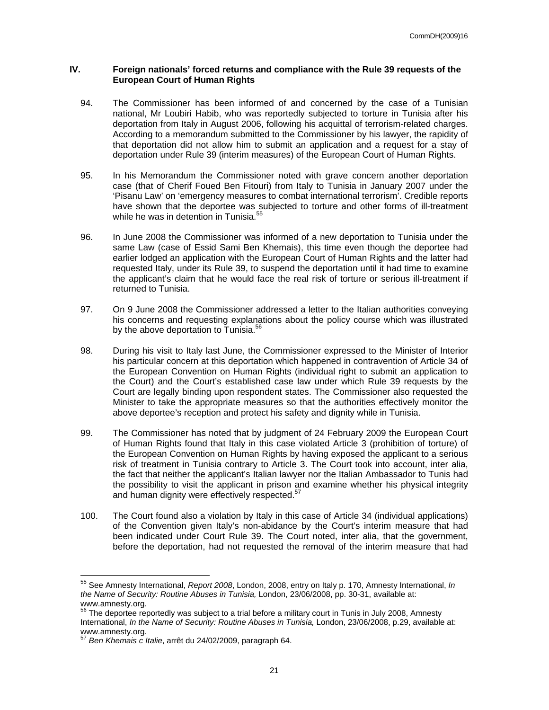### **IV. Foreign nationals' forced returns and compliance with the Rule 39 requests of the European Court of Human Rights**

- 94. The Commissioner has been informed of and concerned by the case of a Tunisian national, Mr Loubiri Habib, who was reportedly subjected to torture in Tunisia after his deportation from Italy in August 2006, following his acquittal of terrorism-related charges. According to a memorandum submitted to the Commissioner by his lawyer, the rapidity of that deportation did not allow him to submit an application and a request for a stay of deportation under Rule 39 (interim measures) of the European Court of Human Rights.
- 95. In his Memorandum the Commissioner noted with grave concern another deportation case (that of Cherif Foued Ben Fitouri) from Italy to Tunisia in January 2007 under the 'Pisanu Law' on 'emergency measures to combat international terrorism'. Credible reports have shown that the deportee was subjected to torture and other forms of ill-treatment while he was in detention in Tunisia.<sup>5</sup>
- 96. In June 2008 the Commissioner was informed of a new deportation to Tunisia under the same Law (case of Essid Sami Ben Khemais), this time even though the deportee had earlier lodged an application with the European Court of Human Rights and the latter had requested Italy, under its Rule 39, to suspend the deportation until it had time to examine the applicant's claim that he would face the real risk of torture or serious ill-treatment if returned to Tunisia.
- 97. On 9 June 2008 the Commissioner addressed a letter to the Italian authorities conveying his concerns and requesting explanations about the policy course which was illustrated by the above deportation to Tunisia.<sup>56</sup>
- 98. During his visit to Italy last June, the Commissioner expressed to the Minister of Interior his particular concern at this deportation which happened in contravention of Article 34 of the European Convention on Human Rights (individual right to submit an application to the Court) and the Court's established case law under which Rule 39 requests by the Court are legally binding upon respondent states. The Commissioner also requested the Minister to take the appropriate measures so that the authorities effectively monitor the above deportee's reception and protect his safety and dignity while in Tunisia.
- 99. The Commissioner has noted that by judgment of 24 February 2009 the European Court of Human Rights found that Italy in this case violated Article 3 (prohibition of torture) of the European Convention on Human Rights by having exposed the applicant to a serious risk of treatment in Tunisia contrary to Article 3. The Court took into account, inter alia, the fact that neither the applicant's Italian lawyer nor the Italian Ambassador to Tunis had the possibility to visit the applicant in prison and examine whether his physical integrity and human dignity were effectively respected.<sup>57</sup>
- 100. The Court found also a violation by Italy in this case of Article 34 (individual applications) of the Convention given Italy's non-abidance by the Court's interim measure that had been indicated under Court Rule 39. The Court noted, inter alia, that the government, before the deportation, had not requested the removal of the interim measure that had

 $\overline{a}$ 

<sup>55</sup> See Amnesty International, *Report 2008*, London, 2008, entry on Italy p. 170, Amnesty International, *In the Name of Security: Routine Abuses in Tunisia,* London, 23/06/2008, pp. 30-31, available at: www.amnesty.org.

 $56$  The deportee reportedly was subject to a trial before a military court in Tunis in July 2008, Amnesty International, *In the Name of Security: Routine Abuses in Tunisia,* London, 23/06/2008, p.29, available at: www.amnesty.org.

<sup>57</sup> *Ben Khemais c Italie*, arrêt du 24/02/2009, paragraph 64.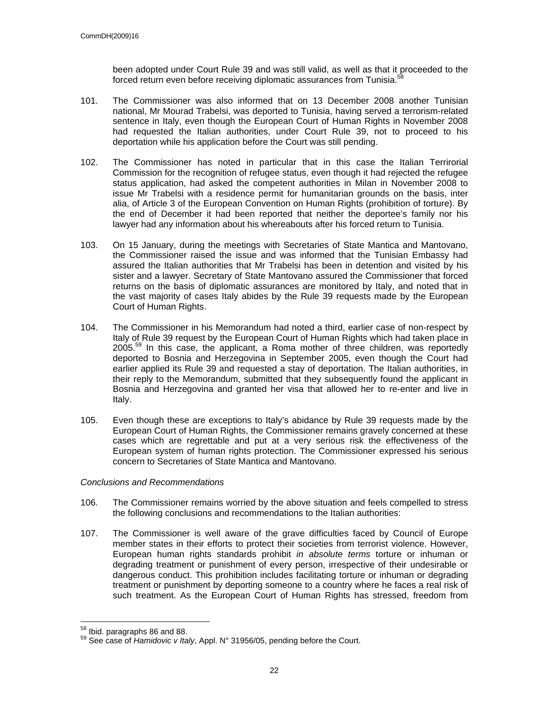been adopted under Court Rule 39 and was still valid, as well as that it proceeded to the forced return even before receiving diplomatic assurances from Tunisia.<sup>58</sup>

- 101. The Commissioner was also informed that on 13 December 2008 another Tunisian national, Mr Mourad Trabelsi, was deported to Tunisia, having served a terrorism-related sentence in Italy, even though the European Court of Human Rights in November 2008 had requested the Italian authorities, under Court Rule 39, not to proceed to his deportation while his application before the Court was still pending.
- 102. The Commissioner has noted in particular that in this case the Italian Terrirorial Commission for the recognition of refugee status, even though it had rejected the refugee status application, had asked the competent authorities in Milan in November 2008 to issue Mr Trabelsi with a residence permit for humanitarian grounds on the basis, inter alia, of Article 3 of the European Convention on Human Rights (prohibition of torture). By the end of December it had been reported that neither the deportee's family nor his lawyer had any information about his whereabouts after his forced return to Tunisia.
- 103. On 15 January, during the meetings with Secretaries of State Mantica and Mantovano, the Commissioner raised the issue and was informed that the Tunisian Embassy had assured the Italian authorities that Mr Trabelsi has been in detention and visited by his sister and a lawyer. Secretary of State Mantovano assured the Commissioner that forced returns on the basis of diplomatic assurances are monitored by Italy, and noted that in the vast majority of cases Italy abides by the Rule 39 requests made by the European Court of Human Rights.
- 104. The Commissioner in his Memorandum had noted a third, earlier case of non-respect by Italy of Rule 39 request by the European Court of Human Rights which had taken place in  $2005<sup>59</sup>$  In this case, the applicant, a Roma mother of three children, was reportedly deported to Bosnia and Herzegovina in September 2005, even though the Court had earlier applied its Rule 39 and requested a stay of deportation. The Italian authorities, in their reply to the Memorandum, submitted that they subsequently found the applicant in Bosnia and Herzegovina and granted her visa that allowed her to re-enter and live in Italy.
- 105. Even though these are exceptions to Italy's abidance by Rule 39 requests made by the European Court of Human Rights, the Commissioner remains gravely concerned at these cases which are regrettable and put at a very serious risk the effectiveness of the European system of human rights protection. The Commissioner expressed his serious concern to Secretaries of State Mantica and Mantovano.

### *Conclusions and Recommendations*

- 106. The Commissioner remains worried by the above situation and feels compelled to stress the following conclusions and recommendations to the Italian authorities:
- 107. The Commissioner is well aware of the grave difficulties faced by Council of Europe member states in their efforts to protect their societies from terrorist violence. However, European human rights standards prohibit *in absolute terms* torture or inhuman or degrading treatment or punishment of every person, irrespective of their undesirable or dangerous conduct. This prohibition includes facilitating torture or inhuman or degrading treatment or punishment by deporting someone to a country where he faces a real risk of such treatment. As the European Court of Human Rights has stressed, freedom from

<sup>58</sup> Ibid. paragraphs 86 and 88.

<sup>59</sup> See case of *Hamidovic v Italy*, Appl. N° 31956/05, pending before the Court.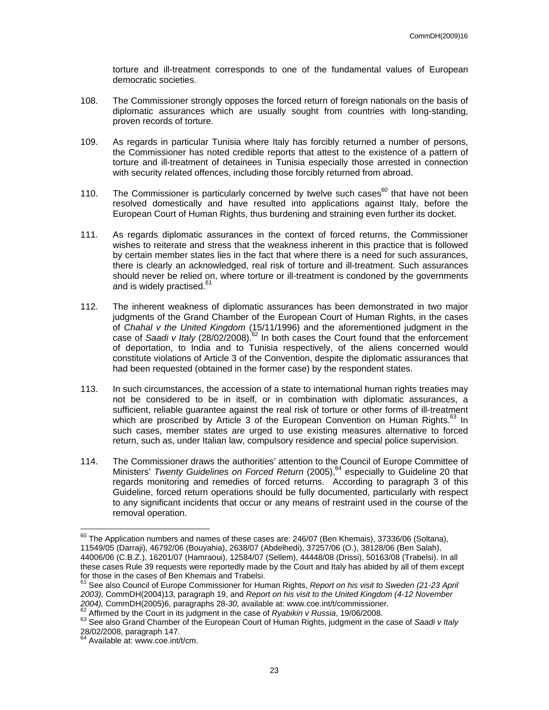torture and ill-treatment corresponds to one of the fundamental values of European democratic societies.

- 108. The Commissioner strongly opposes the forced return of foreign nationals on the basis of diplomatic assurances which are usually sought from countries with long-standing, proven records of torture.
- 109. As regards in particular Tunisia where Italy has forcibly returned a number of persons, the Commissioner has noted credible reports that attest to the existence of a pattern of torture and ill-treatment of detainees in Tunisia especially those arrested in connection with security related offences, including those forcibly returned from abroad.
- 110. The Commissioner is particularly concerned by twelve such cases<sup>60</sup> that have not been resolved domestically and have resulted into applications against Italy, before the European Court of Human Rights, thus burdening and straining even further its docket.
- 111. As regards diplomatic assurances in the context of forced returns, the Commissioner wishes to reiterate and stress that the weakness inherent in this practice that is followed by certain member states lies in the fact that where there is a need for such assurances, there is clearly an acknowledged, real risk of torture and ill-treatment. Such assurances should never be relied on, where torture or ill-treatment is condoned by the governments and is widely practised.<sup>61</sup>
- 112. The inherent weakness of diplomatic assurances has been demonstrated in two major judgments of the Grand Chamber of the European Court of Human Rights, in the cases of *Chahal v the United Kingdom* (15/11/1996) and the aforementioned judgment in the case of *Saadi v Italy* (28/02/2008).<sup>62</sup> In both cases the Court found that the enforcement of deportation, to India and to Tunisia respectively, of the aliens concerned would constitute violations of Article 3 of the Convention, despite the diplomatic assurances that had been requested (obtained in the former case) by the respondent states.
- 113. In such circumstances, the accession of a state to international human rights treaties may not be considered to be in itself, or in combination with diplomatic assurances, a sufficient, reliable guarantee against the real risk of torture or other forms of ill-treatment which are proscribed by Article 3 of the European Convention on Human Rights. $^{63}$  In such cases, member states are urged to use existing measures alternative to forced return, such as, under Italian law, compulsory residence and special police supervision.
- 114. The Commissioner draws the authorities' attention to the Council of Europe Committee of Ministers' *Twenty Guidelines on Forced Return* (2005),<sup>64</sup> especially to Guideline 20 that regards monitoring and remedies of forced returns. According to paragraph 3 of this Guideline, forced return operations should be fully documented, particularly with respect to any significant incidents that occur or any means of restraint used in the course of the removal operation.

 $\overline{a}$ 

 $^{60}$  The Application numbers and names of these cases are: 246/07 (Ben Khemais), 37336/06 (Soltana), 11549/05 (Darraji), 46792/06 (Bouyahia), 2638/07 (Abdelhedi), 37257/06 (O.), 38128/06 (Ben Salah), 44006/06 (C.B.Z.), 16201/07 (Hamraoui), 12584/07 (Sellem), 44448/08 (Drissi), 50163/08 (Trabelsi). In all these cases Rule 39 requests were reportedly made by the Court and Italy has abided by all of them except for those in the cases of Ben Khemais and Trabelsi.

<sup>61</sup> See also Council of Europe Commissioner for Human Rights, *Report on his visit to Sweden (21-23 April 2003),* CommDH(2004)13, paragraph 19, and *Report on his visit to the United Kingdom (4-12 November* 

<sup>2004),</sup> CommDH(2005)6, paragraphs 28-30, available at: www.coe.int/t/commissioner.<br><sup>62</sup> Affirmed by the Court in its judgment in the case of *Ryabikin v Russia*, 19/06/2008.<br><sup>63</sup> See also Grand Chamber of the European Court 28/02/2008, paragraph 147.

<sup>64</sup> Available at: www.coe.int/t/cm.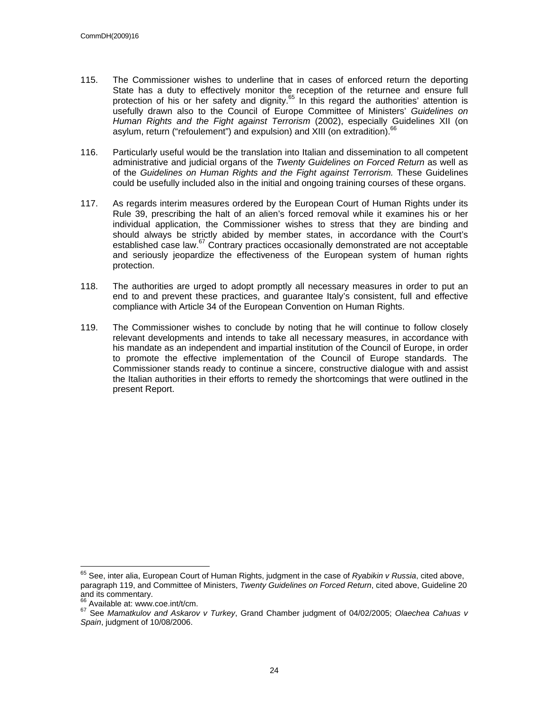- 115. The Commissioner wishes to underline that in cases of enforced return the deporting State has a duty to effectively monitor the reception of the returnee and ensure full protection of his or her safety and dignity. $65$  In this regard the authorities' attention is usefully drawn also to the Council of Europe Committee of Ministers' *Guidelines on Human Rights and the Fight against Terrorism* (2002), especially Guidelines XII (on asylum, return ("refoulement") and expulsion) and XIII (on extradition).<sup>66</sup>
- 116. Particularly useful would be the translation into Italian and dissemination to all competent administrative and judicial organs of the *Twenty Guidelines on Forced Return* as well as of the *Guidelines on Human Rights and the Fight against Terrorism.* These Guidelines could be usefully included also in the initial and ongoing training courses of these organs.
- 117. As regards interim measures ordered by the European Court of Human Rights under its Rule 39, prescribing the halt of an alien's forced removal while it examines his or her individual application, the Commissioner wishes to stress that they are binding and should always be strictly abided by member states, in accordance with the Court's established case law.<sup>67</sup> Contrary practices occasionally demonstrated are not acceptable and seriously jeopardize the effectiveness of the European system of human rights protection.
- 118. The authorities are urged to adopt promptly all necessary measures in order to put an end to and prevent these practices, and guarantee Italy's consistent, full and effective compliance with Article 34 of the European Convention on Human Rights.
- 119. The Commissioner wishes to conclude by noting that he will continue to follow closely relevant developments and intends to take all necessary measures, in accordance with his mandate as an independent and impartial institution of the Council of Europe, in order to promote the effective implementation of the Council of Europe standards. The Commissioner stands ready to continue a sincere, constructive dialogue with and assist the Italian authorities in their efforts to remedy the shortcomings that were outlined in the present Report.

 $\overline{\phantom{a}}$ 

<sup>65</sup> See, inter alia, European Court of Human Rights, judgment in the case of *Ryabikin v Russia*, cited above, paragraph 119, and Committee of Ministers, *Twenty Guidelines on Forced Return*, cited above, Guideline 20 and its commentary.<br> $66$  Available at: www.coe.int/t/cm.

<sup>66</sup> Available at: www.coe.int/t/cm. 67 See *Mamatkulov and Askarov v Turkey*, Grand Chamber judgment of 04/02/2005; *Olaechea Cahuas v Spain*, judgment of 10/08/2006.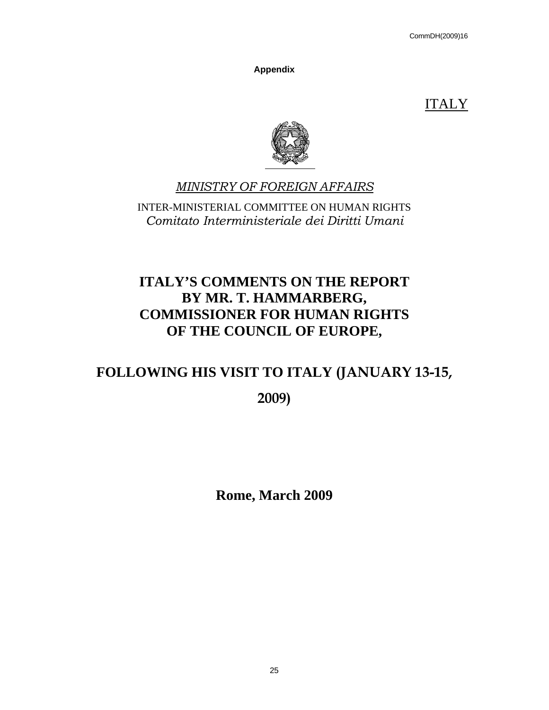**Appendix** 

ITALY



## *MINISTRY OF FOREIGN AFFAIRS*

INTER-MINISTERIAL COMMITTEE ON HUMAN RIGHTS *Comitato Interministeriale dei Diritti Umani* 

# **ITALY'S COMMENTS ON THE REPORT BY MR. T. HAMMARBERG, COMMISSIONER FOR HUMAN RIGHTS OF THE COUNCIL OF EUROPE,**

# **FOLLOWING HIS VISIT TO ITALY (JANUARY 13-15,**

**2009)** 

**Rome, March 2009**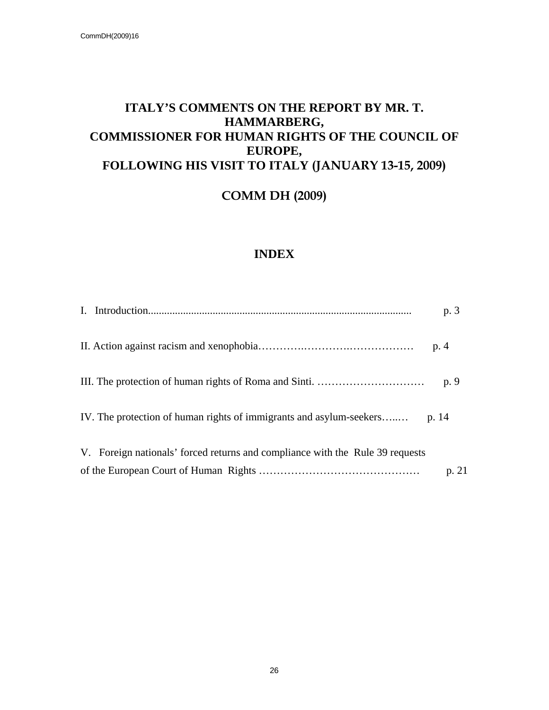### **ITALY'S COMMENTS ON THE REPORT BY MR. T. HAMMARBERG, COMMISSIONER FOR HUMAN RIGHTS OF THE COUNCIL OF EUROPE, FOLLOWING HIS VISIT TO ITALY (JANUARY 13-15, 2009)**

**COMM DH (2009)**

### **INDEX**

|                                                                               | p. 3  |
|-------------------------------------------------------------------------------|-------|
|                                                                               |       |
|                                                                               | p. 9  |
| IV. The protection of human rights of immigrants and asylum-seekers p. 14     |       |
| V. Foreign nationals' forced returns and compliance with the Rule 39 requests |       |
|                                                                               | p. 21 |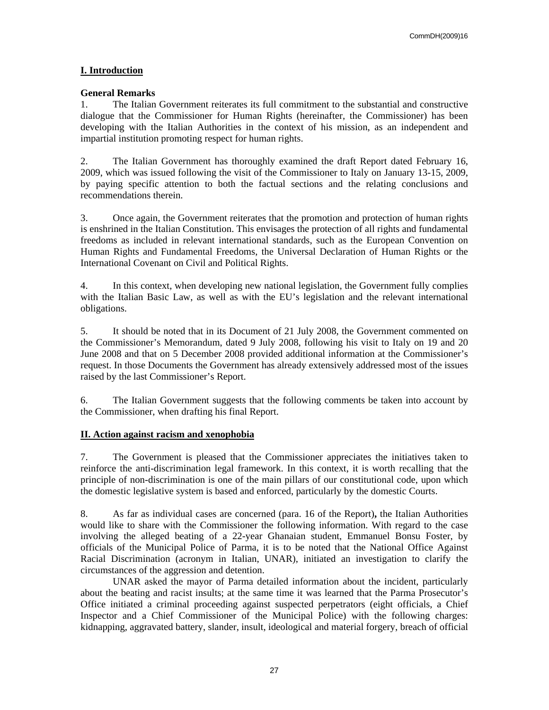### **I. Introduction**

### **General Remarks**

1. The Italian Government reiterates its full commitment to the substantial and constructive dialogue that the Commissioner for Human Rights (hereinafter, the Commissioner) has been developing with the Italian Authorities in the context of his mission, as an independent and impartial institution promoting respect for human rights.

2. The Italian Government has thoroughly examined the draft Report dated February 16, 2009, which was issued following the visit of the Commissioner to Italy on January 13-15, 2009, by paying specific attention to both the factual sections and the relating conclusions and recommendations therein.

3. Once again, the Government reiterates that the promotion and protection of human rights is enshrined in the Italian Constitution. This envisages the protection of all rights and fundamental freedoms as included in relevant international standards, such as the European Convention on Human Rights and Fundamental Freedoms, the Universal Declaration of Human Rights or the International Covenant on Civil and Political Rights.

4. In this context, when developing new national legislation, the Government fully complies with the Italian Basic Law, as well as with the EU's legislation and the relevant international obligations.

5. It should be noted that in its Document of 21 July 2008, the Government commented on the Commissioner's Memorandum, dated 9 July 2008, following his visit to Italy on 19 and 20 June 2008 and that on 5 December 2008 provided additional information at the Commissioner's request. In those Documents the Government has already extensively addressed most of the issues raised by the last Commissioner's Report.

6. The Italian Government suggests that the following comments be taken into account by the Commissioner, when drafting his final Report.

### **II. Action against racism and xenophobia**

7. The Government is pleased that the Commissioner appreciates the initiatives taken to reinforce the anti-discrimination legal framework. In this context, it is worth recalling that the principle of non-discrimination is one of the main pillars of our constitutional code, upon which the domestic legislative system is based and enforced, particularly by the domestic Courts.

8. As far as individual cases are concerned (para. 16 of the Report)**,** the Italian Authorities would like to share with the Commissioner the following information. With regard to the case involving the alleged beating of a 22-year Ghanaian student, Emmanuel Bonsu Foster, by officials of the Municipal Police of Parma, it is to be noted that the National Office Against Racial Discrimination (acronym in Italian, UNAR), initiated an investigation to clarify the circumstances of the aggression and detention.

 UNAR asked the mayor of Parma detailed information about the incident, particularly about the beating and racist insults; at the same time it was learned that the Parma Prosecutor's Office initiated a criminal proceeding against suspected perpetrators (eight officials, a Chief Inspector and a Chief Commissioner of the Municipal Police) with the following charges: kidnapping, aggravated battery, slander, insult, ideological and material forgery, breach of official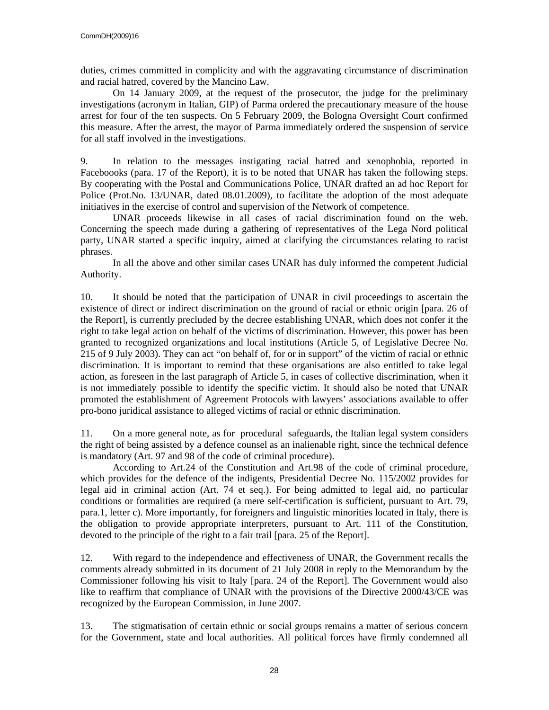duties, crimes committed in complicity and with the aggravating circumstance of discrimination and racial hatred, covered by the Mancino Law.

 On 14 January 2009, at the request of the prosecutor, the judge for the preliminary investigations (acronym in Italian, GIP) of Parma ordered the precautionary measure of the house arrest for four of the ten suspects. On 5 February 2009, the Bologna Oversight Court confirmed this measure. After the arrest, the mayor of Parma immediately ordered the suspension of service for all staff involved in the investigations.

9. In relation to the messages instigating racial hatred and xenophobia, reported in Faceboooks (para. 17 of the Report), it is to be noted that UNAR has taken the following steps. By cooperating with the Postal and Communications Police, UNAR drafted an ad hoc Report for Police (Prot.No. 13/UNAR, dated 08.01.2009), to facilitate the adoption of the most adequate initiatives in the exercise of control and supervision of the Network of competence.

 UNAR proceeds likewise in all cases of racial discrimination found on the web. Concerning the speech made during a gathering of representatives of the Lega Nord political party, UNAR started a specific inquiry, aimed at clarifying the circumstances relating to racist phrases.

 In all the above and other similar cases UNAR has duly informed the competent Judicial Authority.

10. It should be noted that the participation of UNAR in civil proceedings to ascertain the existence of direct or indirect discrimination on the ground of racial or ethnic origin [para. 26 of the Report], is currently precluded by the decree establishing UNAR, which does not confer it the right to take legal action on behalf of the victims of discrimination. However, this power has been granted to recognized organizations and local institutions (Article 5, of Legislative Decree No. 215 of 9 July 2003). They can act "on behalf of, for or in support" of the victim of racial or ethnic discrimination. It is important to remind that these organisations are also entitled to take legal action, as foreseen in the last paragraph of Article 5, in cases of collective discrimination, when it is not immediately possible to identify the specific victim. It should also be noted that UNAR promoted the establishment of Agreement Protocols with lawyers' associations available to offer pro-bono juridical assistance to alleged victims of racial or ethnic discrimination.

11. On a more general note, as for procedural safeguards, the Italian legal system considers the right of being assisted by a defence counsel as an inalienable right, since the technical defence is mandatory (Art. 97 and 98 of the code of criminal procedure).

 According to Art.24 of the Constitution and Art.98 of the code of criminal procedure, which provides for the defence of the indigents, Presidential Decree No. 115/2002 provides for legal aid in criminal action (Art. 74 et seq.). For being admitted to legal aid, no particular conditions or formalities are required (a mere self-certification is sufficient, pursuant to Art. 79, para.1, letter c). More importantly, for foreigners and linguistic minorities located in Italy, there is the obligation to provide appropriate interpreters, pursuant to Art. 111 of the Constitution, devoted to the principle of the right to a fair trail [para. 25 of the Report].

12. With regard to the independence and effectiveness of UNAR, the Government recalls the comments already submitted in its document of 21 July 2008 in reply to the Memorandum by the Commissioner following his visit to Italy [para. 24 of the Report]. The Government would also like to reaffirm that compliance of UNAR with the provisions of the Directive 2000/43/CE was recognized by the European Commission, in June 2007.

13. The stigmatisation of certain ethnic or social groups remains a matter of serious concern for the Government, state and local authorities. All political forces have firmly condemned all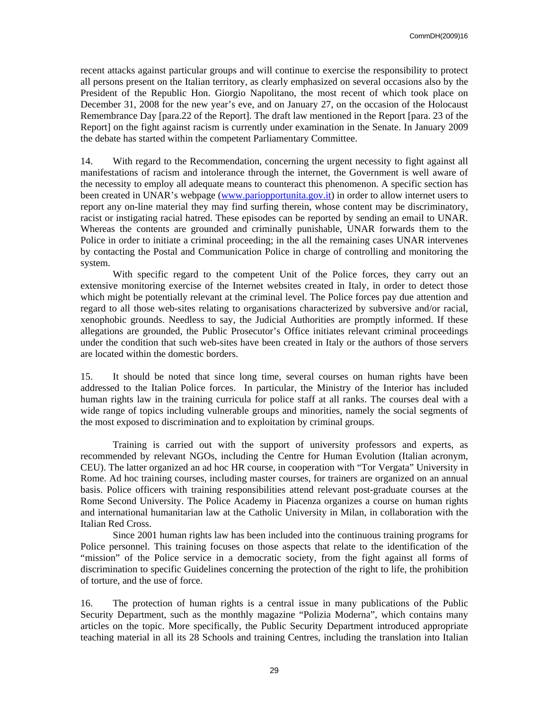recent attacks against particular groups and will continue to exercise the responsibility to protect all persons present on the Italian territory, as clearly emphasized on several occasions also by the President of the Republic Hon. Giorgio Napolitano, the most recent of which took place on December 31, 2008 for the new year's eve, and on January 27, on the occasion of the Holocaust Remembrance Day [para.22 of the Report]. The draft law mentioned in the Report [para. 23 of the Report] on the fight against racism is currently under examination in the Senate. In January 2009 the debate has started within the competent Parliamentary Committee.

14. With regard to the Recommendation, concerning the urgent necessity to fight against all manifestations of racism and intolerance through the internet, the Government is well aware of the necessity to employ all adequate means to counteract this phenomenon. A specific section has been created in UNAR's webpage (www.pariopportunita.gov.it) in order to allow internet users to report any on-line material they may find surfing therein, whose content may be discriminatory, racist or instigating racial hatred. These episodes can be reported by sending an email to UNAR. Whereas the contents are grounded and criminally punishable, UNAR forwards them to the Police in order to initiate a criminal proceeding; in the all the remaining cases UNAR intervenes by contacting the Postal and Communication Police in charge of controlling and monitoring the system.

 With specific regard to the competent Unit of the Police forces, they carry out an extensive monitoring exercise of the Internet websites created in Italy, in order to detect those which might be potentially relevant at the criminal level. The Police forces pay due attention and regard to all those web-sites relating to organisations characterized by subversive and/or racial, xenophobic grounds. Needless to say, the Judicial Authorities are promptly informed. If these allegations are grounded, the Public Prosecutor's Office initiates relevant criminal proceedings under the condition that such web-sites have been created in Italy or the authors of those servers are located within the domestic borders.

15. It should be noted that since long time, several courses on human rights have been addressed to the Italian Police forces. In particular, the Ministry of the Interior has included human rights law in the training curricula for police staff at all ranks. The courses deal with a wide range of topics including vulnerable groups and minorities, namely the social segments of the most exposed to discrimination and to exploitation by criminal groups.

Training is carried out with the support of university professors and experts, as recommended by relevant NGOs, including the Centre for Human Evolution (Italian acronym, CEU). The latter organized an ad hoc HR course, in cooperation with "Tor Vergata" University in Rome. Ad hoc training courses, including master courses, for trainers are organized on an annual basis. Police officers with training responsibilities attend relevant post-graduate courses at the Rome Second University. The Police Academy in Piacenza organizes a course on human rights and international humanitarian law at the Catholic University in Milan, in collaboration with the Italian Red Cross.

 Since 2001 human rights law has been included into the continuous training programs for Police personnel. This training focuses on those aspects that relate to the identification of the "mission" of the Police service in a democratic society, from the fight against all forms of discrimination to specific Guidelines concerning the protection of the right to life, the prohibition of torture, and the use of force.

16. The protection of human rights is a central issue in many publications of the Public Security Department, such as the monthly magazine "Polizia Moderna", which contains many articles on the topic. More specifically, the Public Security Department introduced appropriate teaching material in all its 28 Schools and training Centres, including the translation into Italian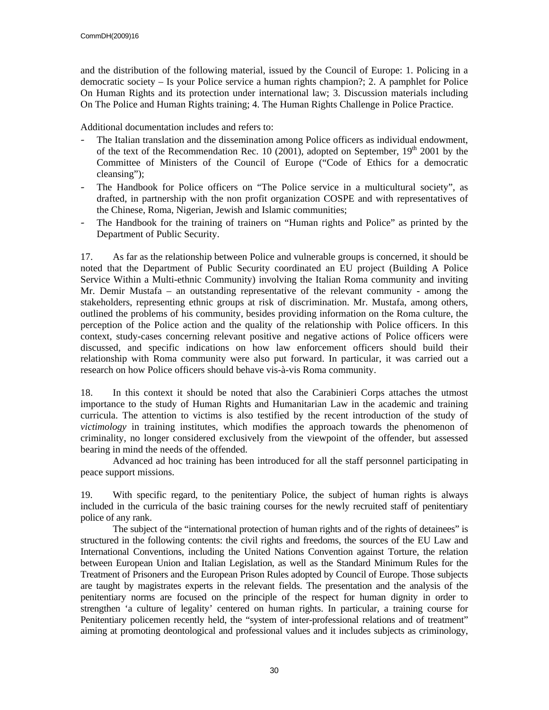and the distribution of the following material, issued by the Council of Europe: 1. Policing in a democratic society – Is your Police service a human rights champion?; 2. A pamphlet for Police On Human Rights and its protection under international law; 3. Discussion materials including On The Police and Human Rights training; 4. The Human Rights Challenge in Police Practice.

Additional documentation includes and refers to:

- The Italian translation and the dissemination among Police officers as individual endowment, of the text of the Recommendation Rec. 10 (2001), adopted on September,  $19<sup>th</sup>$  2001 by the Committee of Ministers of the Council of Europe ("Code of Ethics for a democratic cleansing");
- The Handbook for Police officers on "The Police service in a multicultural society", as drafted, in partnership with the non profit organization COSPE and with representatives of the Chinese, Roma, Nigerian, Jewish and Islamic communities;
- The Handbook for the training of trainers on "Human rights and Police" as printed by the Department of Public Security.

17. As far as the relationship between Police and vulnerable groups is concerned, it should be noted that the Department of Public Security coordinated an EU project (Building A Police Service Within a Multi-ethnic Community) involving the Italian Roma community and inviting Mr. Demir Mustafa – an outstanding representative of the relevant community - among the stakeholders, representing ethnic groups at risk of discrimination. Mr. Mustafa, among others, outlined the problems of his community, besides providing information on the Roma culture, the perception of the Police action and the quality of the relationship with Police officers. In this context, study-cases concerning relevant positive and negative actions of Police officers were discussed, and specific indications on how law enforcement officers should build their relationship with Roma community were also put forward. In particular, it was carried out a research on how Police officers should behave vis-à-vis Roma community.

18. In this context it should be noted that also the Carabinieri Corps attaches the utmost importance to the study of Human Rights and Humanitarian Law in the academic and training curricula. The attention to victims is also testified by the recent introduction of the study of *victimology* in training institutes, which modifies the approach towards the phenomenon of criminality, no longer considered exclusively from the viewpoint of the offender, but assessed bearing in mind the needs of the offended.

 Advanced ad hoc training has been introduced for all the staff personnel participating in peace support missions.

19. With specific regard, to the penitentiary Police, the subject of human rights is always included in the curricula of the basic training courses for the newly recruited staff of penitentiary police of any rank.

 The subject of the "international protection of human rights and of the rights of detainees" is structured in the following contents: the civil rights and freedoms, the sources of the EU Law and International Conventions, including the United Nations Convention against Torture, the relation between European Union and Italian Legislation, as well as the Standard Minimum Rules for the Treatment of Prisoners and the European Prison Rules adopted by Council of Europe. Those subjects are taught by magistrates experts in the relevant fields. The presentation and the analysis of the penitentiary norms are focused on the principle of the respect for human dignity in order to strengthen 'a culture of legality' centered on human rights. In particular, a training course for Penitentiary policemen recently held, the "system of inter-professional relations and of treatment" aiming at promoting deontological and professional values and it includes subjects as criminology,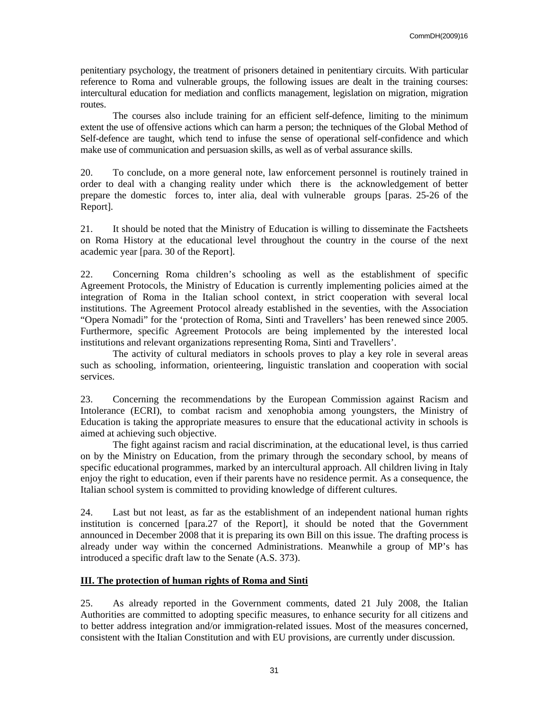penitentiary psychology, the treatment of prisoners detained in penitentiary circuits. With particular reference to Roma and vulnerable groups, the following issues are dealt in the training courses: intercultural education for mediation and conflicts management, legislation on migration, migration routes.

 The courses also include training for an efficient self-defence, limiting to the minimum extent the use of offensive actions which can harm a person; the techniques of the Global Method of Self-defence are taught, which tend to infuse the sense of operational self-confidence and which make use of communication and persuasion skills, as well as of verbal assurance skills.

20. To conclude, on a more general note, law enforcement personnel is routinely trained in order to deal with a changing reality under which there is the acknowledgement of better prepare the domestic forces to, inter alia, deal with vulnerable groups [paras. 25-26 of the Report].

21. It should be noted that the Ministry of Education is willing to disseminate the Factsheets on Roma History at the educational level throughout the country in the course of the next academic year [para. 30 of the Report].

22. Concerning Roma children's schooling as well as the establishment of specific Agreement Protocols, the Ministry of Education is currently implementing policies aimed at the integration of Roma in the Italian school context, in strict cooperation with several local institutions. The Agreement Protocol already established in the seventies, with the Association "Opera Nomadi" for the 'protection of Roma, Sinti and Travellers' has been renewed since 2005. Furthermore, specific Agreement Protocols are being implemented by the interested local institutions and relevant organizations representing Roma, Sinti and Travellers'.

 The activity of cultural mediators in schools proves to play a key role in several areas such as schooling, information, orienteering, linguistic translation and cooperation with social services.

23. Concerning the recommendations by the European Commission against Racism and Intolerance (ECRI), to combat racism and xenophobia among youngsters, the Ministry of Education is taking the appropriate measures to ensure that the educational activity in schools is aimed at achieving such objective.

 The fight against racism and racial discrimination, at the educational level, is thus carried on by the Ministry on Education, from the primary through the secondary school, by means of specific educational programmes, marked by an intercultural approach. All children living in Italy enjoy the right to education, even if their parents have no residence permit. As a consequence, the Italian school system is committed to providing knowledge of different cultures.

24. Last but not least, as far as the establishment of an independent national human rights institution is concerned [para.27 of the Report], it should be noted that the Government announced in December 2008 that it is preparing its own Bill on this issue. The drafting process is already under way within the concerned Administrations. Meanwhile a group of MP's has introduced a specific draft law to the Senate (A.S. 373).

### **III. The protection of human rights of Roma and Sinti**

25. As already reported in the Government comments, dated 21 July 2008, the Italian Authorities are committed to adopting specific measures, to enhance security for all citizens and to better address integration and/or immigration-related issues. Most of the measures concerned, consistent with the Italian Constitution and with EU provisions, are currently under discussion.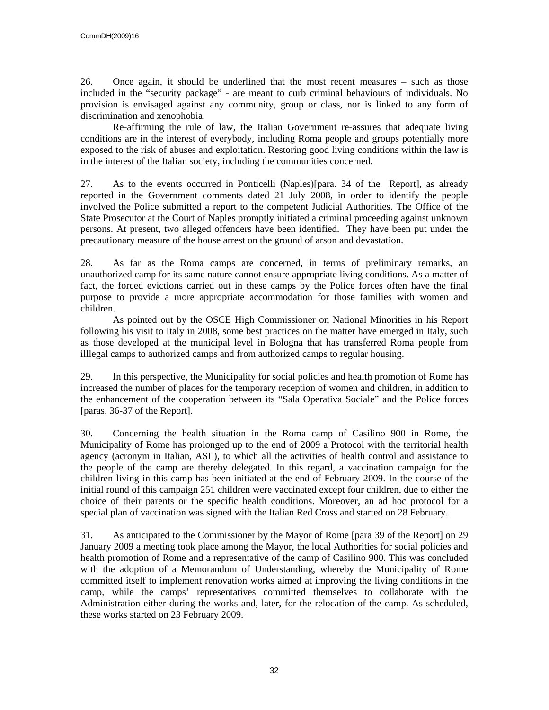26. Once again, it should be underlined that the most recent measures – such as those included in the "security package" - are meant to curb criminal behaviours of individuals. No provision is envisaged against any community, group or class, nor is linked to any form of discrimination and xenophobia.

 Re-affirming the rule of law, the Italian Government re-assures that adequate living conditions are in the interest of everybody, including Roma people and groups potentially more exposed to the risk of abuses and exploitation. Restoring good living conditions within the law is in the interest of the Italian society, including the communities concerned.

27. As to the events occurred in Ponticelli (Naples)[para. 34 of the Report], as already reported in the Government comments dated 21 July 2008, in order to identify the people involved the Police submitted a report to the competent Judicial Authorities. The Office of the State Prosecutor at the Court of Naples promptly initiated a criminal proceeding against unknown persons. At present, two alleged offenders have been identified. They have been put under the precautionary measure of the house arrest on the ground of arson and devastation.

28. As far as the Roma camps are concerned, in terms of preliminary remarks, an unauthorized camp for its same nature cannot ensure appropriate living conditions. As a matter of fact, the forced evictions carried out in these camps by the Police forces often have the final purpose to provide a more appropriate accommodation for those families with women and children.

 As pointed out by the OSCE High Commissioner on National Minorities in his Report following his visit to Italy in 2008, some best practices on the matter have emerged in Italy, such as those developed at the municipal level in Bologna that has transferred Roma people from illlegal camps to authorized camps and from authorized camps to regular housing.

29. In this perspective, the Municipality for social policies and health promotion of Rome has increased the number of places for the temporary reception of women and children, in addition to the enhancement of the cooperation between its "Sala Operativa Sociale" and the Police forces [paras. 36-37 of the Report].

30. Concerning the health situation in the Roma camp of Casilino 900 in Rome, the Municipality of Rome has prolonged up to the end of 2009 a Protocol with the territorial health agency (acronym in Italian, ASL), to which all the activities of health control and assistance to the people of the camp are thereby delegated. In this regard, a vaccination campaign for the children living in this camp has been initiated at the end of February 2009. In the course of the initial round of this campaign 251 children were vaccinated except four children, due to either the choice of their parents or the specific health conditions. Moreover, an ad hoc protocol for a special plan of vaccination was signed with the Italian Red Cross and started on 28 February.

31. As anticipated to the Commissioner by the Mayor of Rome [para 39 of the Report] on 29 January 2009 a meeting took place among the Mayor, the local Authorities for social policies and health promotion of Rome and a representative of the camp of Casilino 900. This was concluded with the adoption of a Memorandum of Understanding, whereby the Municipality of Rome committed itself to implement renovation works aimed at improving the living conditions in the camp, while the camps' representatives committed themselves to collaborate with the Administration either during the works and, later, for the relocation of the camp. As scheduled, these works started on 23 February 2009.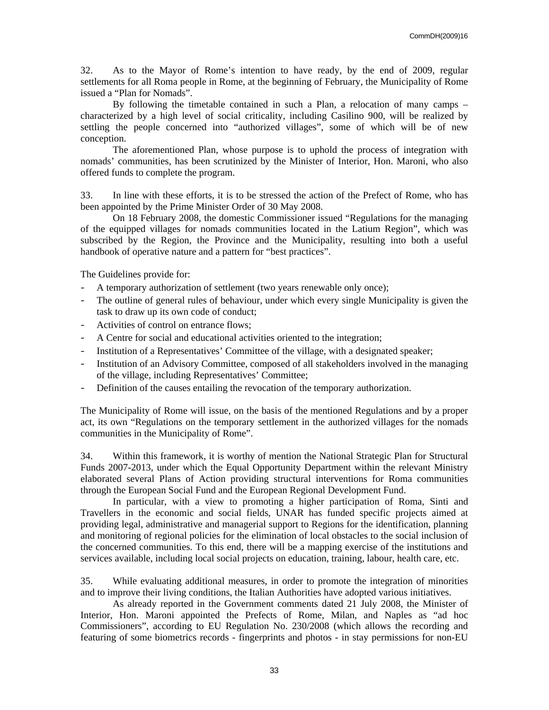32. As to the Mayor of Rome's intention to have ready, by the end of 2009, regular settlements for all Roma people in Rome, at the beginning of February, the Municipality of Rome issued a "Plan for Nomads".

 By following the timetable contained in such a Plan, a relocation of many camps – characterized by a high level of social criticality, including Casilino 900, will be realized by settling the people concerned into "authorized villages", some of which will be of new conception.

 The aforementioned Plan, whose purpose is to uphold the process of integration with nomads' communities, has been scrutinized by the Minister of Interior, Hon. Maroni, who also offered funds to complete the program.

33. In line with these efforts, it is to be stressed the action of the Prefect of Rome, who has been appointed by the Prime Minister Order of 30 May 2008.

 On 18 February 2008, the domestic Commissioner issued "Regulations for the managing of the equipped villages for nomads communities located in the Latium Region", which was subscribed by the Region, the Province and the Municipality, resulting into both a useful handbook of operative nature and a pattern for "best practices".

The Guidelines provide for:

- A temporary authorization of settlement (two years renewable only once);
- The outline of general rules of behaviour, under which every single Municipality is given the task to draw up its own code of conduct;
- Activities of control on entrance flows;
- A Centre for social and educational activities oriented to the integration;
- Institution of a Representatives' Committee of the village, with a designated speaker;
- Institution of an Advisory Committee, composed of all stakeholders involved in the managing of the village, including Representatives' Committee;
- Definition of the causes entailing the revocation of the temporary authorization.

The Municipality of Rome will issue, on the basis of the mentioned Regulations and by a proper act, its own "Regulations on the temporary settlement in the authorized villages for the nomads communities in the Municipality of Rome".

34. Within this framework, it is worthy of mention the National Strategic Plan for Structural Funds 2007-2013, under which the Equal Opportunity Department within the relevant Ministry elaborated several Plans of Action providing structural interventions for Roma communities through the European Social Fund and the European Regional Development Fund.

 In particular, with a view to promoting a higher participation of Roma, Sinti and Travellers in the economic and social fields, UNAR has funded specific projects aimed at providing legal, administrative and managerial support to Regions for the identification, planning and monitoring of regional policies for the elimination of local obstacles to the social inclusion of the concerned communities. To this end, there will be a mapping exercise of the institutions and services available, including local social projects on education, training, labour, health care, etc.

35. While evaluating additional measures, in order to promote the integration of minorities and to improve their living conditions, the Italian Authorities have adopted various initiatives.

 As already reported in the Government comments dated 21 July 2008, the Minister of Interior, Hon. Maroni appointed the Prefects of Rome, Milan, and Naples as "ad hoc Commissioners", according to EU Regulation No. 230/2008 (which allows the recording and featuring of some biometrics records - fingerprints and photos - in stay permissions for non-EU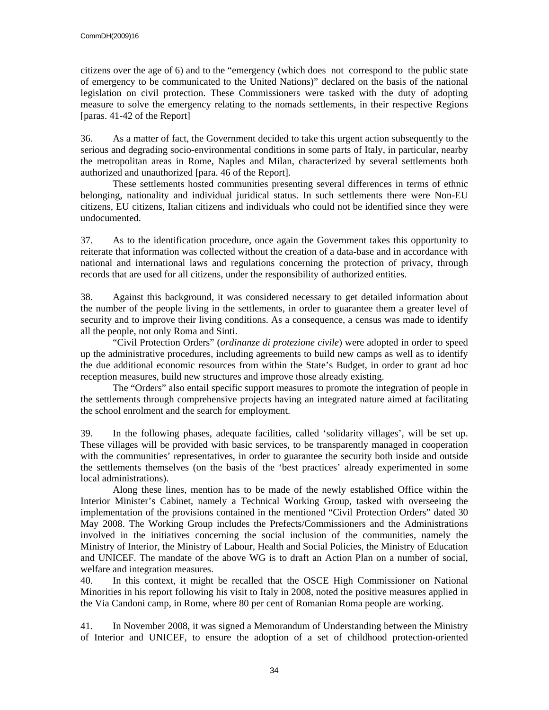citizens over the age of 6) and to the "emergency (which does not correspond to the public state of emergency to be communicated to the United Nations)" declared on the basis of the national legislation on civil protection. These Commissioners were tasked with the duty of adopting measure to solve the emergency relating to the nomads settlements, in their respective Regions [paras. 41-42 of the Report]

36. As a matter of fact, the Government decided to take this urgent action subsequently to the serious and degrading socio-environmental conditions in some parts of Italy, in particular, nearby the metropolitan areas in Rome, Naples and Milan, characterized by several settlements both authorized and unauthorized [para. 46 of the Report].

 These settlements hosted communities presenting several differences in terms of ethnic belonging, nationality and individual juridical status. In such settlements there were Non-EU citizens, EU citizens, Italian citizens and individuals who could not be identified since they were undocumented.

37. As to the identification procedure, once again the Government takes this opportunity to reiterate that information was collected without the creation of a data-base and in accordance with national and international laws and regulations concerning the protection of privacy, through records that are used for all citizens, under the responsibility of authorized entities.

38. Against this background, it was considered necessary to get detailed information about the number of the people living in the settlements, in order to guarantee them a greater level of security and to improve their living conditions. As a consequence, a census was made to identify all the people, not only Roma and Sinti.

 "Civil Protection Orders" (*ordinanze di protezione civile*) were adopted in order to speed up the administrative procedures, including agreements to build new camps as well as to identify the due additional economic resources from within the State's Budget, in order to grant ad hoc reception measures, build new structures and improve those already existing.

 The "Orders" also entail specific support measures to promote the integration of people in the settlements through comprehensive projects having an integrated nature aimed at facilitating the school enrolment and the search for employment.

39. In the following phases, adequate facilities, called 'solidarity villages', will be set up. These villages will be provided with basic services, to be transparently managed in cooperation with the communities' representatives, in order to guarantee the security both inside and outside the settlements themselves (on the basis of the 'best practices' already experimented in some local administrations).

 Along these lines, mention has to be made of the newly established Office within the Interior Minister's Cabinet, namely a Technical Working Group, tasked with overseeing the implementation of the provisions contained in the mentioned "Civil Protection Orders" dated 30 May 2008. The Working Group includes the Prefects/Commissioners and the Administrations involved in the initiatives concerning the social inclusion of the communities, namely the Ministry of Interior, the Ministry of Labour, Health and Social Policies, the Ministry of Education and UNICEF. The mandate of the above WG is to draft an Action Plan on a number of social, welfare and integration measures.

40. In this context, it might be recalled that the OSCE High Commissioner on National Minorities in his report following his visit to Italy in 2008, noted the positive measures applied in the Via Candoni camp, in Rome, where 80 per cent of Romanian Roma people are working.

41. In November 2008, it was signed a Memorandum of Understanding between the Ministry of Interior and UNICEF, to ensure the adoption of a set of childhood protection-oriented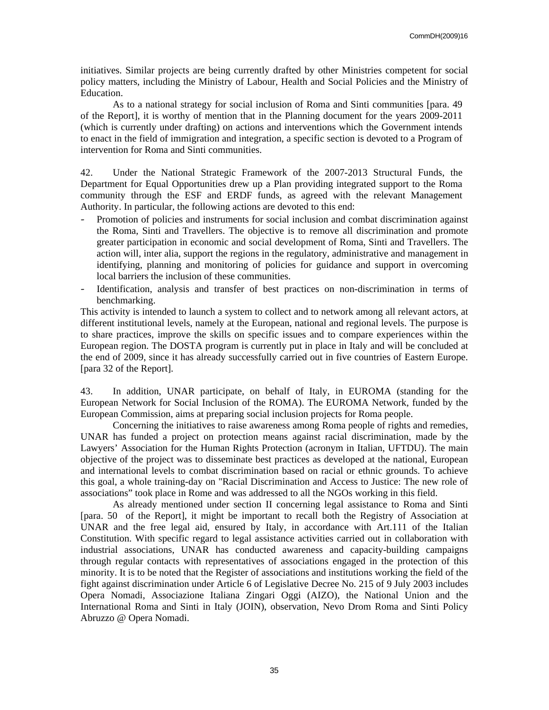initiatives. Similar projects are being currently drafted by other Ministries competent for social policy matters, including the Ministry of Labour, Health and Social Policies and the Ministry of Education.

 As to a national strategy for social inclusion of Roma and Sinti communities [para. 49 of the Report], it is worthy of mention that in the Planning document for the years 2009-2011 (which is currently under drafting) on actions and interventions which the Government intends to enact in the field of immigration and integration, a specific section is devoted to a Program of intervention for Roma and Sinti communities.

42. Under the National Strategic Framework of the 2007-2013 Structural Funds, the Department for Equal Opportunities drew up a Plan providing integrated support to the Roma community through the ESF and ERDF funds, as agreed with the relevant Management Authority. In particular, the following actions are devoted to this end:

- Promotion of policies and instruments for social inclusion and combat discrimination against the Roma, Sinti and Travellers. The objective is to remove all discrimination and promote greater participation in economic and social development of Roma, Sinti and Travellers. The action will, inter alia, support the regions in the regulatory, administrative and management in identifying, planning and monitoring of policies for guidance and support in overcoming local barriers the inclusion of these communities.
- Identification, analysis and transfer of best practices on non-discrimination in terms of benchmarking.

This activity is intended to launch a system to collect and to network among all relevant actors, at different institutional levels, namely at the European, national and regional levels. The purpose is to share practices, improve the skills on specific issues and to compare experiences within the European region. The DOSTA program is currently put in place in Italy and will be concluded at the end of 2009, since it has already successfully carried out in five countries of Eastern Europe. [para 32 of the Report].

43. In addition, UNAR participate, on behalf of Italy, in EUROMA (standing for the European Network for Social Inclusion of the ROMA). The EUROMA Network, funded by the European Commission, aims at preparing social inclusion projects for Roma people.

 Concerning the initiatives to raise awareness among Roma people of rights and remedies, UNAR has funded a project on protection means against racial discrimination, made by the Lawyers' Association for the Human Rights Protection (acronym in Italian, UFTDU). The main objective of the project was to disseminate best practices as developed at the national, European and international levels to combat discrimination based on racial or ethnic grounds. To achieve this goal, a whole training-day on "Racial Discrimination and Access to Justice: The new role of associations" took place in Rome and was addressed to all the NGOs working in this field.

 As already mentioned under section II concerning legal assistance to Roma and Sinti [para. 50 of the Report], it might be important to recall both the Registry of Association at UNAR and the free legal aid, ensured by Italy, in accordance with Art.111 of the Italian Constitution. With specific regard to legal assistance activities carried out in collaboration with industrial associations, UNAR has conducted awareness and capacity-building campaigns through regular contacts with representatives of associations engaged in the protection of this minority. It is to be noted that the Register of associations and institutions working the field of the fight against discrimination under Article 6 of Legislative Decree No. 215 of 9 July 2003 includes Opera Nomadi, Associazione Italiana Zingari Oggi (AIZO), the National Union and the International Roma and Sinti in Italy (JOIN), observation, Nevo Drom Roma and Sinti Policy Abruzzo @ Opera Nomadi.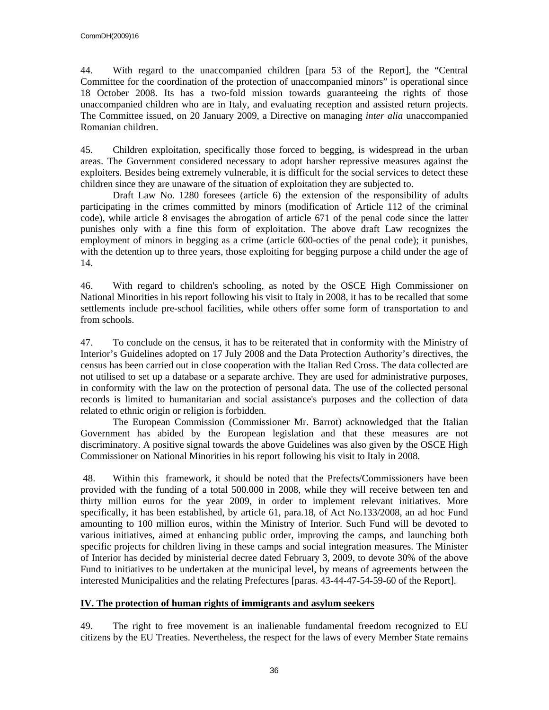44. With regard to the unaccompanied children [para 53 of the Report], the "Central Committee for the coordination of the protection of unaccompanied minors" is operational since 18 October 2008. Its has a two-fold mission towards guaranteeing the rights of those unaccompanied children who are in Italy, and evaluating reception and assisted return projects. The Committee issued, on 20 January 2009, a Directive on managing *inter alia* unaccompanied Romanian children.

45. Children exploitation, specifically those forced to begging, is widespread in the urban areas. The Government considered necessary to adopt harsher repressive measures against the exploiters. Besides being extremely vulnerable, it is difficult for the social services to detect these children since they are unaware of the situation of exploitation they are subjected to.

 Draft Law No. 1280 foresees (article 6) the extension of the responsibility of adults participating in the crimes committed by minors (modification of Article 112 of the criminal code), while article 8 envisages the abrogation of article 671 of the penal code since the latter punishes only with a fine this form of exploitation. The above draft Law recognizes the employment of minors in begging as a crime (article 600-octies of the penal code); it punishes, with the detention up to three years, those exploiting for begging purpose a child under the age of 14.

46. With regard to children's schooling, as noted by the OSCE High Commissioner on National Minorities in his report following his visit to Italy in 2008, it has to be recalled that some settlements include pre-school facilities, while others offer some form of transportation to and from schools.

47. To conclude on the census, it has to be reiterated that in conformity with the Ministry of Interior's Guidelines adopted on 17 July 2008 and the Data Protection Authority's directives, the census has been carried out in close cooperation with the Italian Red Cross. The data collected are not utilised to set up a database or a separate archive. They are used for administrative purposes, in conformity with the law on the protection of personal data. The use of the collected personal records is limited to humanitarian and social assistance's purposes and the collection of data related to ethnic origin or religion is forbidden.

 The European Commission (Commissioner Mr. Barrot) acknowledged that the Italian Government has abided by the European legislation and that these measures are not discriminatory. A positive signal towards the above Guidelines was also given by the OSCE High Commissioner on National Minorities in his report following his visit to Italy in 2008.

 48. Within this framework, it should be noted that the Prefects/Commissioners have been provided with the funding of a total 500.000 in 2008, while they will receive between ten and thirty million euros for the year 2009, in order to implement relevant initiatives. More specifically, it has been established, by article 61, para.18, of Act No.133/2008, an ad hoc Fund amounting to 100 million euros, within the Ministry of Interior. Such Fund will be devoted to various initiatives, aimed at enhancing public order, improving the camps, and launching both specific projects for children living in these camps and social integration measures. The Minister of Interior has decided by ministerial decree dated February 3, 2009, to devote 30% of the above Fund to initiatives to be undertaken at the municipal level, by means of agreements between the interested Municipalities and the relating Prefectures [paras. 43-44-47-54-59-60 of the Report].

### **IV. The protection of human rights of immigrants and asylum seekers**

49. The right to free movement is an inalienable fundamental freedom recognized to EU citizens by the EU Treaties. Nevertheless, the respect for the laws of every Member State remains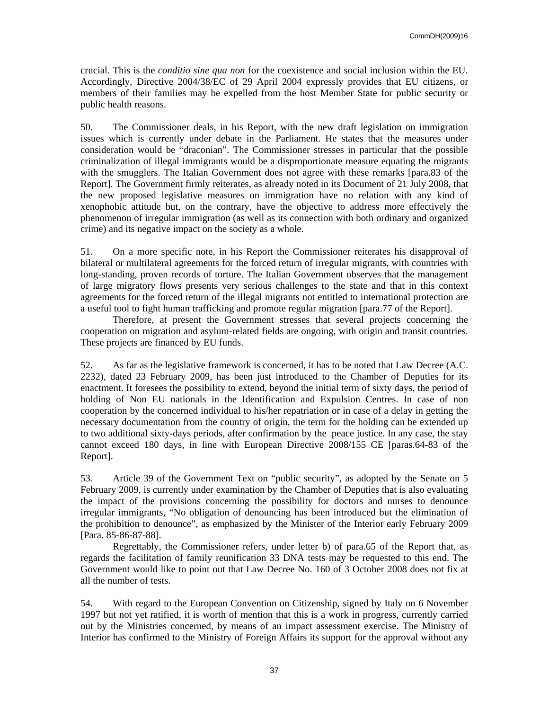crucial. This is the *conditio sine qua non* for the coexistence and social inclusion within the EU. Accordingly, Directive 2004/38/EC of 29 April 2004 expressly provides that EU citizens, or members of their families may be expelled from the host Member State for public security or public health reasons.

50. The Commissioner deals, in his Report, with the new draft legislation on immigration issues which is currently under debate in the Parliament. He states that the measures under consideration would be "draconian". The Commissioner stresses in particular that the possible criminalization of illegal immigrants would be a disproportionate measure equating the migrants with the smugglers. The Italian Government does not agree with these remarks [para.83 of the Report]. The Government firmly reiterates, as already noted in its Document of 21 July 2008, that the new proposed legislative measures on immigration have no relation with any kind of xenophobic attitude but, on the contrary, have the objective to address more effectively the phenomenon of irregular immigration (as well as its connection with both ordinary and organized crime) and its negative impact on the society as a whole.

51. On a more specific note, in his Report the Commissioner reiterates his disapproval of bilateral or multilateral agreements for the forced return of irregular migrants, with countries with long-standing, proven records of torture. The Italian Government observes that the management of large migratory flows presents very serious challenges to the state and that in this context agreements for the forced return of the illegal migrants not entitled to international protection are a useful tool to fight human trafficking and promote regular migration [para.77 of the Report].

 Therefore, at present the Government stresses that several projects concerning the cooperation on migration and asylum-related fields are ongoing, with origin and transit countries. These projects are financed by EU funds.

52. As far as the legislative framework is concerned, it has to be noted that Law Decree (A.C. 2232), dated 23 February 2009, has been just introduced to the Chamber of Deputies for its enactment. It foresees the possibility to extend, beyond the initial term of sixty days, the period of holding of Non EU nationals in the Identification and Expulsion Centres. In case of non cooperation by the concerned individual to his/her repatriation or in case of a delay in getting the necessary documentation from the country of origin, the term for the holding can be extended up to two additional sixty-days periods, after confirmation by the peace justice. In any case, the stay cannot exceed 180 days, in line with European Directive 2008/155 CE [paras.64-83 of the Report].

53. Article 39 of the Government Text on "public security", as adopted by the Senate on 5 February 2009, is currently under examination by the Chamber of Deputies that is also evaluating the impact of the provisions concerning the possibility for doctors and nurses to denounce irregular immigrants, "No obligation of denouncing has been introduced but the elimination of the prohibition to denounce", as emphasized by the Minister of the Interior early February 2009 [Para. 85-86-87-88].

 Regrettably, the Commissioner refers, under letter b) of para.65 of the Report that, as regards the facilitation of family reunification 33 DNA tests may be requested to this end. The Government would like to point out that Law Decree No. 160 of 3 October 2008 does not fix at all the number of tests.

54. With regard to the European Convention on Citizenship, signed by Italy on 6 November 1997 but not yet ratified, it is worth of mention that this is a work in progress, currently carried out by the Ministries concerned, by means of an impact assessment exercise. The Ministry of Interior has confirmed to the Ministry of Foreign Affairs its support for the approval without any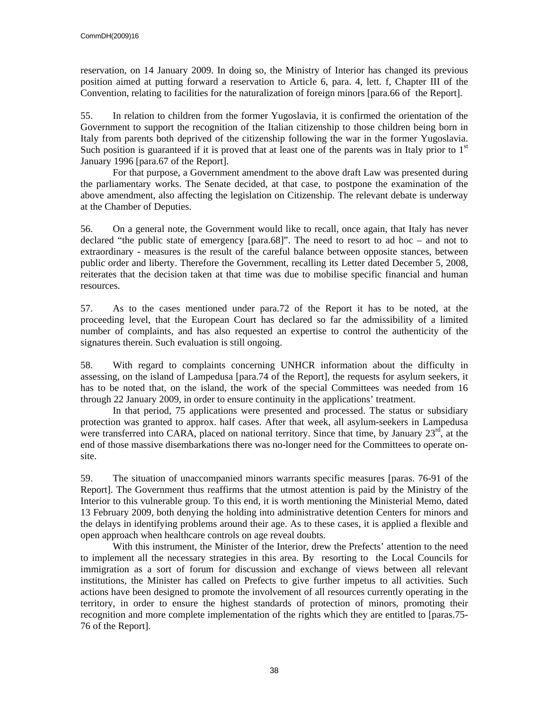reservation, on 14 January 2009. In doing so, the Ministry of Interior has changed its previous position aimed at putting forward a reservation to Article 6, para. 4, lett. f, Chapter III of the Convention, relating to facilities for the naturalization of foreign minors [para.66 of the Report].

55. In relation to children from the former Yugoslavia, it is confirmed the orientation of the Government to support the recognition of the Italian citizenship to those children being born in Italy from parents both deprived of the citizenship following the war in the former Yugoslavia. Such position is guaranteed if it is proved that at least one of the parents was in Italy prior to  $1<sup>st</sup>$ January 1996 [para.67 of the Report].

 For that purpose, a Government amendment to the above draft Law was presented during the parliamentary works. The Senate decided, at that case, to postpone the examination of the above amendment, also affecting the legislation on Citizenship. The relevant debate is underway at the Chamber of Deputies.

56. On a general note, the Government would like to recall, once again, that Italy has never declared "the public state of emergency [para.68]". The need to resort to ad hoc – and not to extraordinary - measures is the result of the careful balance between opposite stances, between public order and liberty. Therefore the Government, recalling its Letter dated December 5, 2008, reiterates that the decision taken at that time was due to mobilise specific financial and human resources.

57. As to the cases mentioned under para.72 of the Report it has to be noted, at the proceeding level, that the European Court has declared so far the admissibility of a limited number of complaints, and has also requested an expertise to control the authenticity of the signatures therein. Such evaluation is still ongoing.

58. With regard to complaints concerning UNHCR information about the difficulty in assessing, on the island of Lampedusa [para.74 of the Report], the requests for asylum seekers, it has to be noted that, on the island, the work of the special Committees was needed from 16 through 22 January 2009, in order to ensure continuity in the applications' treatment.

 In that period, 75 applications were presented and processed. The status or subsidiary protection was granted to approx. half cases. After that week, all asylum-seekers in Lampedusa were transferred into CARA, placed on national territory. Since that time, by January  $23<sup>rd</sup>$ , at the end of those massive disembarkations there was no-longer need for the Committees to operate onsite.

59. The situation of unaccompanied minors warrants specific measures [paras. 76-91 of the Report]. The Government thus reaffirms that the utmost attention is paid by the Ministry of the Interior to this vulnerable group. To this end, it is worth mentioning the Ministerial Memo, dated 13 February 2009, both denying the holding into administrative detention Centers for minors and the delays in identifying problems around their age. As to these cases, it is applied a flexible and open approach when healthcare controls on age reveal doubts.

 With this instrument, the Minister of the Interior, drew the Prefects' attention to the need to implement all the necessary strategies in this area. By resorting to the Local Councils for immigration as a sort of forum for discussion and exchange of views between all relevant institutions, the Minister has called on Prefects to give further impetus to all activities. Such actions have been designed to promote the involvement of all resources currently operating in the territory, in order to ensure the highest standards of protection of minors, promoting their recognition and more complete implementation of the rights which they are entitled to [paras.75- 76 of the Report].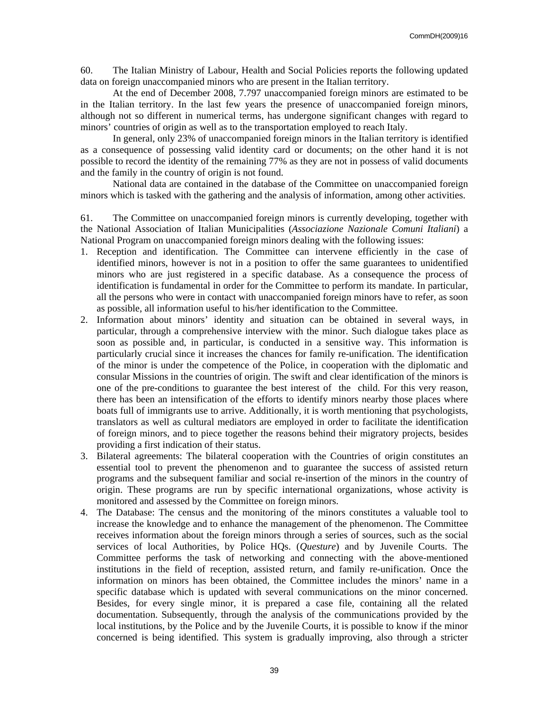60. The Italian Ministry of Labour, Health and Social Policies reports the following updated data on foreign unaccompanied minors who are present in the Italian territory.

 At the end of December 2008, 7.797 unaccompanied foreign minors are estimated to be in the Italian territory. In the last few years the presence of unaccompanied foreign minors, although not so different in numerical terms, has undergone significant changes with regard to minors' countries of origin as well as to the transportation employed to reach Italy.

 In general, only 23% of unaccompanied foreign minors in the Italian territory is identified as a consequence of possessing valid identity card or documents; on the other hand it is not possible to record the identity of the remaining 77% as they are not in possess of valid documents and the family in the country of origin is not found.

 National data are contained in the database of the Committee on unaccompanied foreign minors which is tasked with the gathering and the analysis of information, among other activities.

61. The Committee on unaccompanied foreign minors is currently developing, together with the National Association of Italian Municipalities (*Associazione Nazionale Comuni Italiani*) a National Program on unaccompanied foreign minors dealing with the following issues:

- 1. Reception and identification. The Committee can intervene efficiently in the case of identified minors, however is not in a position to offer the same guarantees to unidentified minors who are just registered in a specific database. As a consequence the process of identification is fundamental in order for the Committee to perform its mandate. In particular, all the persons who were in contact with unaccompanied foreign minors have to refer, as soon as possible, all information useful to his/her identification to the Committee.
- 2. Information about minors' identity and situation can be obtained in several ways, in particular, through a comprehensive interview with the minor. Such dialogue takes place as soon as possible and, in particular, is conducted in a sensitive way. This information is particularly crucial since it increases the chances for family re-unification. The identification of the minor is under the competence of the Police, in cooperation with the diplomatic and consular Missions in the countries of origin. The swift and clear identification of the minors is one of the pre-conditions to guarantee the best interest of the child. For this very reason, there has been an intensification of the efforts to identify minors nearby those places where boats full of immigrants use to arrive. Additionally, it is worth mentioning that psychologists, translators as well as cultural mediators are employed in order to facilitate the identification of foreign minors, and to piece together the reasons behind their migratory projects, besides providing a first indication of their status.
- 3. Bilateral agreements: The bilateral cooperation with the Countries of origin constitutes an essential tool to prevent the phenomenon and to guarantee the success of assisted return programs and the subsequent familiar and social re-insertion of the minors in the country of origin. These programs are run by specific international organizations, whose activity is monitored and assessed by the Committee on foreign minors.
- 4. The Database: The census and the monitoring of the minors constitutes a valuable tool to increase the knowledge and to enhance the management of the phenomenon. The Committee receives information about the foreign minors through a series of sources, such as the social services of local Authorities, by Police HQs. (*Questure*) and by Juvenile Courts. The Committee performs the task of networking and connecting with the above-mentioned institutions in the field of reception, assisted return, and family re-unification. Once the information on minors has been obtained, the Committee includes the minors' name in a specific database which is updated with several communications on the minor concerned. Besides, for every single minor, it is prepared a case file, containing all the related documentation. Subsequently, through the analysis of the communications provided by the local institutions, by the Police and by the Juvenile Courts, it is possible to know if the minor concerned is being identified. This system is gradually improving, also through a stricter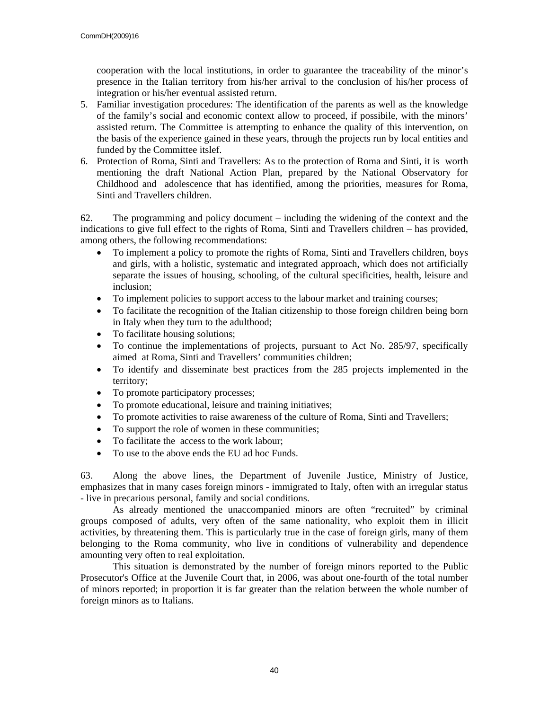cooperation with the local institutions, in order to guarantee the traceability of the minor's presence in the Italian territory from his/her arrival to the conclusion of his/her process of integration or his/her eventual assisted return.

- 5. Familiar investigation procedures: The identification of the parents as well as the knowledge of the family's social and economic context allow to proceed, if possibile, with the minors' assisted return. The Committee is attempting to enhance the quality of this intervention, on the basis of the experience gained in these years, through the projects run by local entities and funded by the Committee itslef.
- 6. Protection of Roma, Sinti and Travellers: As to the protection of Roma and Sinti, it is worth mentioning the draft National Action Plan, prepared by the National Observatory for Childhood and adolescence that has identified, among the priorities, measures for Roma, Sinti and Travellers children.

62. The programming and policy document – including the widening of the context and the indications to give full effect to the rights of Roma, Sinti and Travellers children – has provided, among others, the following recommendations:

- To implement a policy to promote the rights of Roma, Sinti and Travellers children, boys and girls, with a holistic, systematic and integrated approach, which does not artificially separate the issues of housing, schooling, of the cultural specificities, health, leisure and inclusion;
- To implement policies to support access to the labour market and training courses;
- To facilitate the recognition of the Italian citizenship to those foreign children being born in Italy when they turn to the adulthood;
- To facilitate housing solutions;
- To continue the implementations of projects, pursuant to Act No. 285/97, specifically aimed at Roma, Sinti and Travellers' communities children;
- To identify and disseminate best practices from the 285 projects implemented in the territory;
- To promote participatory processes;
- To promote educational, leisure and training initiatives;
- To promote activities to raise awareness of the culture of Roma, Sinti and Travellers;
- To support the role of women in these communities;
- To facilitate the access to the work labour;
- To use to the above ends the EU ad hoc Funds.

63. Along the above lines, the Department of Juvenile Justice, Ministry of Justice, emphasizes that in many cases foreign minors - immigrated to Italy, often with an irregular status - live in precarious personal, family and social conditions.

 As already mentioned the unaccompanied minors are often "recruited" by criminal groups composed of adults, very often of the same nationality, who exploit them in illicit activities, by threatening them. This is particularly true in the case of foreign girls, many of them belonging to the Roma community, who live in conditions of vulnerability and dependence amounting very often to real exploitation.

 This situation is demonstrated by the number of foreign minors reported to the Public Prosecutor's Office at the Juvenile Court that, in 2006, was about one-fourth of the total number of minors reported; in proportion it is far greater than the relation between the whole number of foreign minors as to Italians.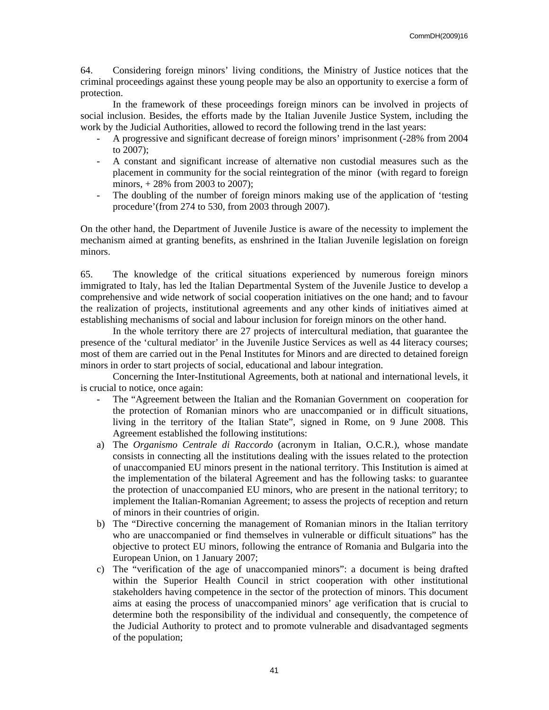64. Considering foreign minors' living conditions, the Ministry of Justice notices that the criminal proceedings against these young people may be also an opportunity to exercise a form of protection.

 In the framework of these proceedings foreign minors can be involved in projects of social inclusion. Besides, the efforts made by the Italian Juvenile Justice System, including the work by the Judicial Authorities, allowed to record the following trend in the last years:

- A progressive and significant decrease of foreign minors' imprisonment (-28% from 2004 to 2007);
- A constant and significant increase of alternative non custodial measures such as the placement in community for the social reintegration of the minor (with regard to foreign minors, + 28% from 2003 to 2007);
- The doubling of the number of foreign minors making use of the application of 'testing procedure'(from 274 to 530, from 2003 through 2007).

On the other hand, the Department of Juvenile Justice is aware of the necessity to implement the mechanism aimed at granting benefits, as enshrined in the Italian Juvenile legislation on foreign minors.

65. The knowledge of the critical situations experienced by numerous foreign minors immigrated to Italy, has led the Italian Departmental System of the Juvenile Justice to develop a comprehensive and wide network of social cooperation initiatives on the one hand; and to favour the realization of projects, institutional agreements and any other kinds of initiatives aimed at establishing mechanisms of social and labour inclusion for foreign minors on the other hand.

 In the whole territory there are 27 projects of intercultural mediation, that guarantee the presence of the 'cultural mediator' in the Juvenile Justice Services as well as 44 literacy courses; most of them are carried out in the Penal Institutes for Minors and are directed to detained foreign minors in order to start projects of social, educational and labour integration.

 Concerning the Inter-Institutional Agreements, both at national and international levels, it is crucial to notice, once again:

- The "Agreement between the Italian and the Romanian Government on cooperation for the protection of Romanian minors who are unaccompanied or in difficult situations, living in the territory of the Italian State", signed in Rome, on 9 June 2008. This Agreement established the following institutions:
- a) The *Organismo Centrale di Raccordo* (acronym in Italian, O.C.R.), whose mandate consists in connecting all the institutions dealing with the issues related to the protection of unaccompanied EU minors present in the national territory. This Institution is aimed at the implementation of the bilateral Agreement and has the following tasks: to guarantee the protection of unaccompanied EU minors, who are present in the national territory; to implement the Italian-Romanian Agreement; to assess the projects of reception and return of minors in their countries of origin.
- b) The "Directive concerning the management of Romanian minors in the Italian territory who are unaccompanied or find themselves in vulnerable or difficult situations" has the objective to protect EU minors, following the entrance of Romania and Bulgaria into the European Union, on 1 January 2007;
- c) The "verification of the age of unaccompanied minors": a document is being drafted within the Superior Health Council in strict cooperation with other institutional stakeholders having competence in the sector of the protection of minors. This document aims at easing the process of unaccompanied minors' age verification that is crucial to determine both the responsibility of the individual and consequently, the competence of the Judicial Authority to protect and to promote vulnerable and disadvantaged segments of the population;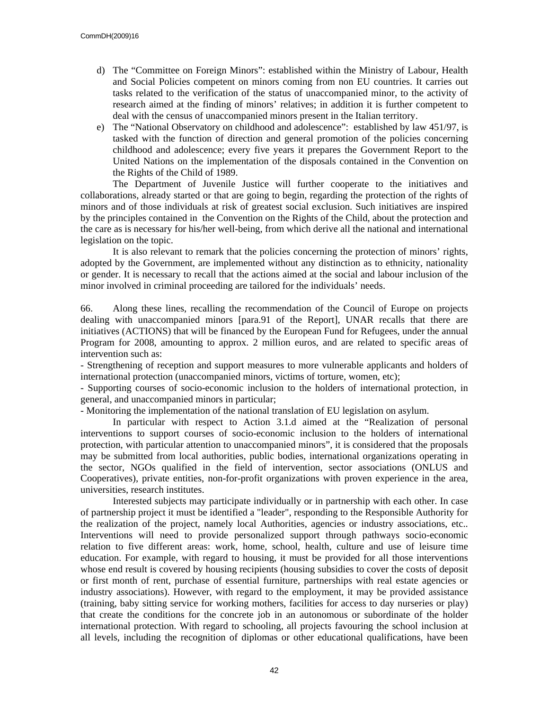- d) The "Committee on Foreign Minors": established within the Ministry of Labour, Health and Social Policies competent on minors coming from non EU countries. It carries out tasks related to the verification of the status of unaccompanied minor, to the activity of research aimed at the finding of minors' relatives; in addition it is further competent to deal with the census of unaccompanied minors present in the Italian territory.
- e) The "National Observatory on childhood and adolescence": established by law 451/97, is tasked with the function of direction and general promotion of the policies concerning childhood and adolescence; every five years it prepares the Government Report to the United Nations on the implementation of the disposals contained in the Convention on the Rights of the Child of 1989.

 The Department of Juvenile Justice will further cooperate to the initiatives and collaborations, already started or that are going to begin, regarding the protection of the rights of minors and of those individuals at risk of greatest social exclusion. Such initiatives are inspired by the principles contained in the Convention on the Rights of the Child, about the protection and the care as is necessary for his/her well-being, from which derive all the national and international legislation on the topic.

 It is also relevant to remark that the policies concerning the protection of minors' rights, adopted by the Government, are implemented without any distinction as to ethnicity, nationality or gender. It is necessary to recall that the actions aimed at the social and labour inclusion of the minor involved in criminal proceeding are tailored for the individuals' needs.

66. Along these lines, recalling the recommendation of the Council of Europe on projects dealing with unaccompanied minors [para.91 of the Report], UNAR recalls that there are initiatives (ACTIONS) that will be financed by the European Fund for Refugees, under the annual Program for 2008, amounting to approx. 2 million euros, and are related to specific areas of intervention such as:

- Strengthening of reception and support measures to more vulnerable applicants and holders of international protection (unaccompanied minors, victims of torture, women, etc);

- Supporting courses of socio-economic inclusion to the holders of international protection, in general, and unaccompanied minors in particular;

- Monitoring the implementation of the national translation of EU legislation on asylum.

 In particular with respect to Action 3.1.d aimed at the "Realization of personal interventions to support courses of socio-economic inclusion to the holders of international protection, with particular attention to unaccompanied minors", it is considered that the proposals may be submitted from local authorities, public bodies, international organizations operating in the sector, NGOs qualified in the field of intervention, sector associations (ONLUS and Cooperatives), private entities, non-for-profit organizations with proven experience in the area, universities, research institutes.

 Interested subjects may participate individually or in partnership with each other. In case of partnership project it must be identified a "leader", responding to the Responsible Authority for the realization of the project, namely local Authorities, agencies or industry associations, etc.. Interventions will need to provide personalized support through pathways socio-economic relation to five different areas: work, home, school, health, culture and use of leisure time education. For example, with regard to housing, it must be provided for all those interventions whose end result is covered by housing recipients (housing subsidies to cover the costs of deposit or first month of rent, purchase of essential furniture, partnerships with real estate agencies or industry associations). However, with regard to the employment, it may be provided assistance (training, baby sitting service for working mothers, facilities for access to day nurseries or play) that create the conditions for the concrete job in an autonomous or subordinate of the holder international protection. With regard to schooling, all projects favouring the school inclusion at all levels, including the recognition of diplomas or other educational qualifications, have been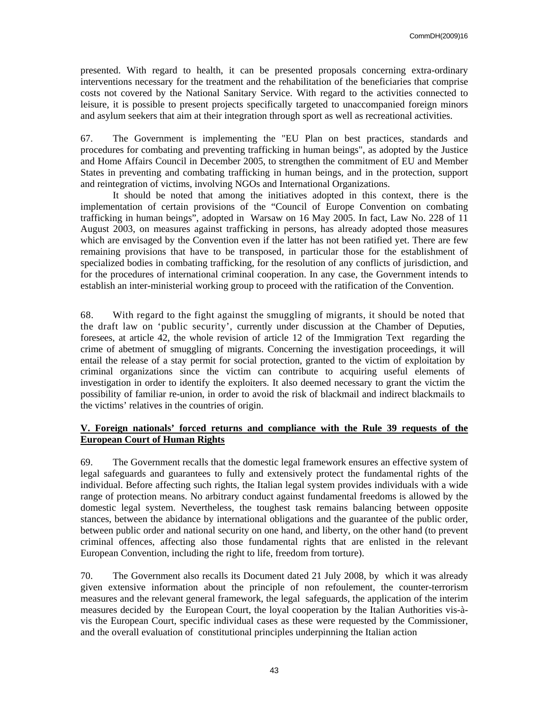presented. With regard to health, it can be presented proposals concerning extra-ordinary interventions necessary for the treatment and the rehabilitation of the beneficiaries that comprise costs not covered by the National Sanitary Service. With regard to the activities connected to leisure, it is possible to present projects specifically targeted to unaccompanied foreign minors and asylum seekers that aim at their integration through sport as well as recreational activities.

67. The Government is implementing the "EU Plan on best practices, standards and procedures for combating and preventing trafficking in human beings", as adopted by the Justice and Home Affairs Council in December 2005, to strengthen the commitment of EU and Member States in preventing and combating trafficking in human beings, and in the protection, support and reintegration of victims, involving NGOs and International Organizations.

 It should be noted that among the initiatives adopted in this context, there is the implementation of certain provisions of the "Council of Europe Convention on combating trafficking in human beings", adopted in Warsaw on 16 May 2005. In fact, Law No. 228 of 11 August 2003, on measures against trafficking in persons, has already adopted those measures which are envisaged by the Convention even if the latter has not been ratified yet. There are few remaining provisions that have to be transposed, in particular those for the establishment of specialized bodies in combating trafficking, for the resolution of any conflicts of jurisdiction, and for the procedures of international criminal cooperation. In any case, the Government intends to establish an inter-ministerial working group to proceed with the ratification of the Convention.

68. With regard to the fight against the smuggling of migrants, it should be noted that the draft law on 'public security', currently under discussion at the Chamber of Deputies, foresees, at article 42, the whole revision of article 12 of the Immigration Text regarding the crime of abetment of smuggling of migrants. Concerning the investigation proceedings, it will entail the release of a stay permit for social protection, granted to the victim of exploitation by criminal organizations since the victim can contribute to acquiring useful elements of investigation in order to identify the exploiters. It also deemed necessary to grant the victim the possibility of familiar re-union, in order to avoid the risk of blackmail and indirect blackmails to the victims' relatives in the countries of origin.

### **V. Foreign nationals' forced returns and compliance with the Rule 39 requests of the European Court of Human Rights**

69. The Government recalls that the domestic legal framework ensures an effective system of legal safeguards and guarantees to fully and extensively protect the fundamental rights of the individual. Before affecting such rights, the Italian legal system provides individuals with a wide range of protection means. No arbitrary conduct against fundamental freedoms is allowed by the domestic legal system. Nevertheless, the toughest task remains balancing between opposite stances, between the abidance by international obligations and the guarantee of the public order, between public order and national security on one hand, and liberty, on the other hand (to prevent criminal offences, affecting also those fundamental rights that are enlisted in the relevant European Convention, including the right to life, freedom from torture).

70. The Government also recalls its Document dated 21 July 2008, by which it was already given extensive information about the principle of non refoulement, the counter-terrorism measures and the relevant general framework, the legal safeguards, the application of the interim measures decided by the European Court, the loyal cooperation by the Italian Authorities vis-àvis the European Court, specific individual cases as these were requested by the Commissioner, and the overall evaluation of constitutional principles underpinning the Italian action